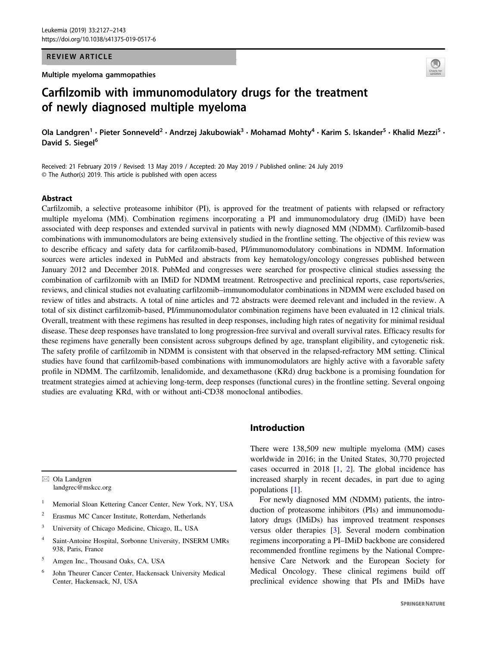### REVIEW ARTICLE

Multiple myeloma gammopathies



# Carfilzomib with immunomodulatory drugs for the treatment of newly diagnosed multiple myeloma

Ola Landgren<sup>1</sup> • Pieter Sonneveld<sup>2</sup> • Andrzej Jakubowiak<sup>3</sup> • Mohamad Mohty<sup>4</sup> • Karim S. Iskander<sup>5</sup> • Khalid Mezzi<sup>5</sup> • David S. Siegel<sup>6</sup>

Received: 21 February 2019 / Revised: 13 May 2019 / Accepted: 20 May 2019 / Published online: 24 July 2019 © The Author(s) 2019. This article is published with open access

### Abstract

Carfilzomib, a selective proteasome inhibitor (PI), is approved for the treatment of patients with relapsed or refractory multiple myeloma (MM). Combination regimens incorporating a PI and immunomodulatory drug (IMiD) have been associated with deep responses and extended survival in patients with newly diagnosed MM (NDMM). Carfilzomib-based combinations with immunomodulators are being extensively studied in the frontline setting. The objective of this review was to describe efficacy and safety data for carfilzomib-based, PI/immunomodulatory combinations in NDMM. Information sources were articles indexed in PubMed and abstracts from key hematology/oncology congresses published between January 2012 and December 2018. PubMed and congresses were searched for prospective clinical studies assessing the combination of carfilzomib with an IMiD for NDMM treatment. Retrospective and preclinical reports, case reports/series, reviews, and clinical studies not evaluating carfilzomib–immunomodulator combinations in NDMM were excluded based on review of titles and abstracts. A total of nine articles and 72 abstracts were deemed relevant and included in the review. A total of six distinct carfilzomib-based, PI/immunomodulator combination regimens have been evaluated in 12 clinical trials. Overall, treatment with these regimens has resulted in deep responses, including high rates of negativity for minimal residual disease. These deep responses have translated to long progression-free survival and overall survival rates. Efficacy results for these regimens have generally been consistent across subgroups defined by age, transplant eligibility, and cytogenetic risk. The safety profile of carfilzomib in NDMM is consistent with that observed in the relapsed-refractory MM setting. Clinical studies have found that carfilzomib-based combinations with immunomodulators are highly active with a favorable safety profile in NDMM. The carfilzomib, lenalidomide, and dexamethasone (KRd) drug backbone is a promising foundation for treatment strategies aimed at achieving long-term, deep responses (functional cures) in the frontline setting. Several ongoing studies are evaluating KRd, with or without anti-CD38 monoclonal antibodies.

 $\boxtimes$  Ola Landgren [landgrec@mskcc.org](mailto:landgrec@mskcc.org)

- <sup>1</sup> Memorial Sloan Kettering Cancer Center, New York, NY, USA
- <sup>2</sup> Erasmus MC Cancer Institute, Rotterdam, Netherlands
- <sup>3</sup> University of Chicago Medicine, Chicago, IL, USA
- <sup>4</sup> Saint-Antoine Hospital, Sorbonne University, INSERM UMRs 938, Paris, France
- <sup>5</sup> Amgen Inc., Thousand Oaks, CA, USA
- <sup>6</sup> John Theurer Cancer Center, Hackensack University Medical Center, Hackensack, NJ, USA

# Introduction

There were 138,509 new multiple myeloma (MM) cases worldwide in 2016; in the United States, 30,770 projected cases occurred in 2018 [\[1](#page-14-0), [2](#page-14-0)]. The global incidence has increased sharply in recent decades, in part due to aging populations [[1\]](#page-14-0).

For newly diagnosed MM (NDMM) patients, the introduction of proteasome inhibitors (PIs) and immunomodulatory drugs (IMiDs) has improved treatment responses versus older therapies [\[3](#page-14-0)]. Several modern combination regimens incorporating a PI–IMiD backbone are considered recommended frontline regimens by the National Comprehensive Care Network and the European Society for Medical Oncology. These clinical regimens build off preclinical evidence showing that PIs and IMiDs have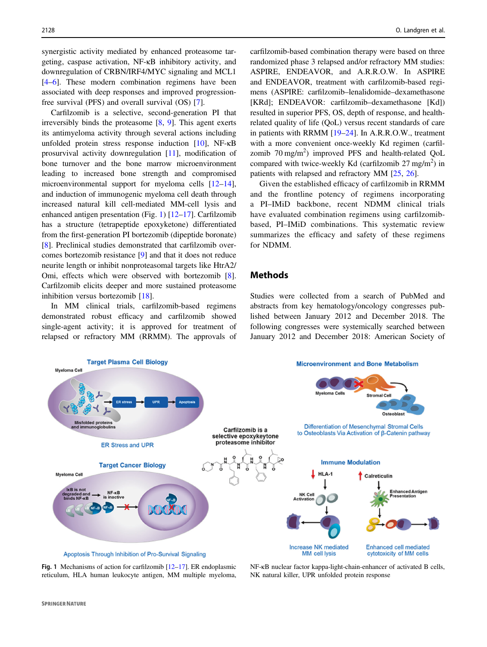synergistic activity mediated by enhanced proteasome targeting, caspase activation, NF-κB inhibitory activity, and downregulation of CRBN/IRF4/MYC signaling and MCL1 [\[4](#page-14-0)–[6](#page-14-0)]. These modern combination regimens have been associated with deep responses and improved progressionfree survival (PFS) and overall survival (OS) [\[7](#page-14-0)].

Carfilzomib is a selective, second-generation PI that irreversibly binds the proteasome [[8,](#page-14-0) [9\]](#page-14-0). This agent exerts its antimyeloma activity through several actions including unfolded protein stress response induction [\[10](#page-14-0)], NF-κB prosurvival activity downregulation [[11](#page-14-0)], modification of bone turnover and the bone marrow microenvironment leading to increased bone strength and compromised microenvironmental support for myeloma cells [\[12](#page-14-0)–[14](#page-14-0)], and induction of immunogenic myeloma cell death through increased natural kill cell-mediated MM-cell lysis and enhanced antigen presentation (Fig. 1) [[12](#page-14-0)–[17\]](#page-14-0). Carfilzomib has a structure (tetrapeptide epoxyketone) differentiated from the first-generation PI bortezomib (dipeptide boronate) [\[8](#page-14-0)]. Preclinical studies demonstrated that carfilzomib overcomes bortezomib resistance [[9\]](#page-14-0) and that it does not reduce neurite length or inhibit nonproteasomal targets like HtrA2/ Omi, effects which were observed with bortezomib [\[8](#page-14-0)]. Carfilzomib elicits deeper and more sustained proteasome inhibition versus bortezomib [[18\]](#page-14-0).

In MM clinical trials, carfilzomib-based regimens demonstrated robust efficacy and carfilzomib showed single-agent activity; it is approved for treatment of relapsed or refractory MM (RRMM). The approvals of carfilzomib-based combination therapy were based on three randomized phase 3 relapsed and/or refractory MM studies: ASPIRE, ENDEAVOR, and A.R.R.O.W. In ASPIRE and ENDEAVOR, treatment with carfilzomib-based regimens (ASPIRE: carfilzomib–lenalidomide–dexamethasone [KRd]; ENDEAVOR: carfilzomib–dexamethasone [Kd]) resulted in superior PFS, OS, depth of response, and healthrelated quality of life (QoL) versus recent standards of care in patients with RRMM [[19](#page-14-0)–[24\]](#page-14-0). In A.R.R.O.W., treatment with a more convenient once-weekly Kd regimen (carfilzomib  $70 \text{ mg/m}^2$ ) improved PFS and health-related QoL compared with twice-weekly Kd (carfilzomib 27 mg/m<sup>2</sup>) in patients with relapsed and refractory MM [\[25](#page-14-0), [26\]](#page-14-0).

Given the established efficacy of carfilzomib in RRMM and the frontline potency of regimens incorporating a PI–IMiD backbone, recent NDMM clinical trials have evaluated combination regimens using carfilzomibbased, PI–IMiD combinations. This systematic review summarizes the efficacy and safety of these regimens for NDMM.

## Methods

Studies were collected from a search of PubMed and abstracts from key hematology/oncology congresses published between January 2012 and December 2018. The following congresses were systemically searched between January 2012 and December 2018: American Society of



Fig. 1 Mechanisms of action for carfilzomib [\[12](#page-14-0)–[17\]](#page-14-0). ER endoplasmic reticulum, HLA human leukocyte antigen, MM multiple myeloma,

NF-κB nuclear factor kappa-light-chain-enhancer of activated B cells, NK natural killer, UPR unfolded protein response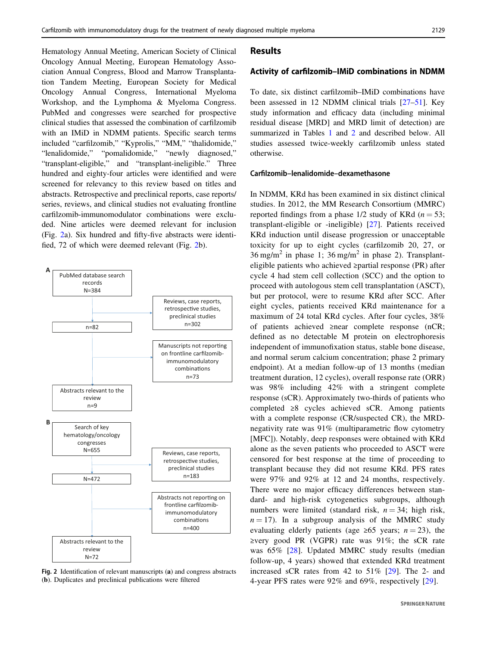Hematology Annual Meeting, American Society of Clinical Oncology Annual Meeting, European Hematology Association Annual Congress, Blood and Marrow Transplantation Tandem Meeting, European Society for Medical Oncology Annual Congress, International Myeloma Workshop, and the Lymphoma & Myeloma Congress. PubMed and congresses were searched for prospective clinical studies that assessed the combination of carfilzomib with an IMiD in NDMM patients. Specific search terms included "carfilzomib," "Kyprolis," "MM," "thalidomide," "lenalidomide," "pomalidomide," "newly diagnosed," "transplant-eligible," and "transplant-ineligible." Three hundred and eighty-four articles were identified and were screened for relevancy to this review based on titles and abstracts. Retrospective and preclinical reports, case reports/ series, reviews, and clinical studies not evaluating frontline carfilzomib-immunomodulator combinations were excluded. Nine articles were deemed relevant for inclusion (Fig. 2a). Six hundred and fifty-five abstracts were identified, 72 of which were deemed relevant (Fig. 2b).



Fig. 2 Identification of relevant manuscripts (a) and congress abstracts (b). Duplicates and preclinical publications were filtered

#### Results

### Activity of carfilzomib–IMiD combinations in NDMM

To date, six distinct carfilzomib–IMiD combinations have been assessed in 12 NDMM clinical trials [\[27](#page-14-0)–[51](#page-15-0)]. Key study information and efficacy data (including minimal residual disease [MRD] and MRD limit of detection) are summarized in Tables [1](#page-3-0) and [2](#page-5-0) and described below. All studies assessed twice-weekly carfilzomib unless stated otherwise.

### Carfilzomib–lenalidomide–dexamethasone

In NDMM, KRd has been examined in six distinct clinical studies. In 2012, the MM Research Consortium (MMRC) reported findings from a phase  $1/2$  study of KRd ( $n = 53$ ; transplant-eligible or -ineligible) [[27\]](#page-14-0). Patients received KRd induction until disease progression or unacceptable toxicity for up to eight cycles (carfilzomib 20, 27, or  $36 \text{ mg/m}^2$  in phase 1;  $36 \text{ mg/m}^2$  in phase 2). Transplanteligible patients who achieved ≥partial response (PR) after cycle 4 had stem cell collection (SCC) and the option to proceed with autologous stem cell transplantation (ASCT), but per protocol, were to resume KRd after SCC. After eight cycles, patients received KRd maintenance for a maximum of 24 total KRd cycles. After four cycles, 38% of patients achieved ≥near complete response (nCR; defined as no detectable M protein on electrophoresis independent of immunofixation status, stable bone disease, and normal serum calcium concentration; phase 2 primary endpoint). At a median follow-up of 13 months (median treatment duration, 12 cycles), overall response rate (ORR) was 98% including 42% with a stringent complete response (sCR). Approximately two-thirds of patients who completed ≥8 cycles achieved sCR. Among patients with a complete response (CR/suspected CR), the MRDnegativity rate was 91% (multiparametric flow cytometry [MFC]). Notably, deep responses were obtained with KRd alone as the seven patients who proceeded to ASCT were censored for best response at the time of proceeding to transplant because they did not resume KRd. PFS rates were 97% and 92% at 12 and 24 months, respectively. There were no major efficacy differences between standard- and high-risk cytogenetics subgroups, although numbers were limited (standard risk,  $n = 34$ ; high risk,  $n = 17$ ). In a subgroup analysis of the MMRC study evaluating elderly patients (age  $\ge 65$  years;  $n = 23$ ), the ≥very good PR (VGPR) rate was 91%; the sCR rate was 65% [\[28\]](#page-14-0). Updated MMRC study results (median follow-up, 4 years) showed that extended KRd treatment increased sCR rates from 42 to 51% [[29\]](#page-14-0). The 2- and 4-year PFS rates were 92% and 69%, respectively [\[29](#page-14-0)].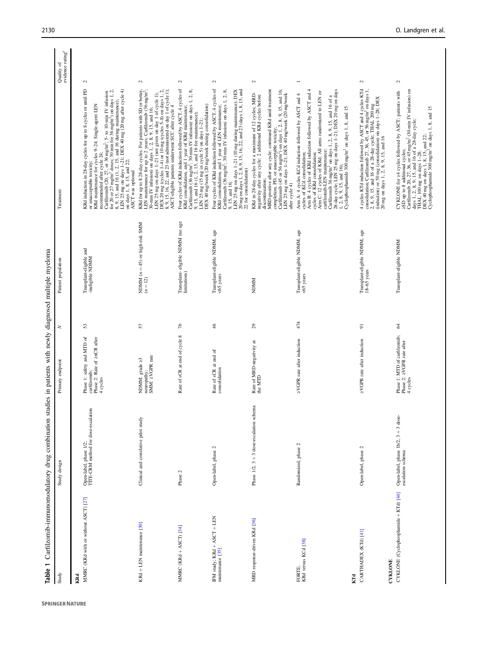**SPRINGER NATURE** 

| j                            |  |
|------------------------------|--|
|                              |  |
|                              |  |
| l<br>ׇ֖֖֖֖֖֚֚֚֚֚֚֚֚֬֝        |  |
|                              |  |
|                              |  |
|                              |  |
|                              |  |
|                              |  |
|                              |  |
| j                            |  |
| l                            |  |
|                              |  |
| ē<br>$\frac{1}{2}$<br>í<br>l |  |

<span id="page-3-0"></span>

| Table 1 Carfilzomib-immunomodulatory drug combination studies in patients with newly diagnosed multiple myeloma |                                                               |                                                                                       |               |                                                    |                                                                                                                                                                                                                                                                                                                                                                                                                                                                                                                                                              |  |
|-----------------------------------------------------------------------------------------------------------------|---------------------------------------------------------------|---------------------------------------------------------------------------------------|---------------|----------------------------------------------------|--------------------------------------------------------------------------------------------------------------------------------------------------------------------------------------------------------------------------------------------------------------------------------------------------------------------------------------------------------------------------------------------------------------------------------------------------------------------------------------------------------------------------------------------------------------|--|
| Study                                                                                                           | Study design                                                  | Primary endpoint                                                                      | z             | Patient population                                 | Quality of<br>evidence rating <sup>a</sup><br>Treatment                                                                                                                                                                                                                                                                                                                                                                                                                                                                                                      |  |
| MMRC (KRd with or without ASCT) [27]<br>KRd                                                                     | Open-label, phase 1/2;<br>TITE-CRM method for dose-escalation | Phase 1: safety and MTD of<br>Phase 2: Rate of 2nCR after<br>carfilzomib;<br>4 cycles | 53            | Transplant-eligible and<br>-ineligible NDMM        | $\mathbf{C}$<br>KRd induction in 28-day cycles for up to 8 cycles or until PD<br>8. 9, 15, and 16 (1, 2, 15, and 16 during maintenance);<br>LEN 25 mg on days 1–21; DEX 40 mg (20 mg after cycle 4)<br>on days 1, 8, 15, and 22;<br>recommended after cycle 24;<br>Carfilzomib (20, 27, or 36 mg/m <sup>2</sup> ; 5- to 10-min IV infusion<br>for 20 or 27 mg/m <sup>2</sup> doses; 30 min for 36 mg/m <sup>2</sup> ) on days 1, 2,<br>KRd maintenance for cycles 9-24; Single-agent LEN<br>or unacceptable toxicity;<br>ASCT was optional                   |  |
| KRd + LEN maintenance [30]                                                                                      | Clinical and correlative pilot study                          | neuropathy;<br>SMM: ≥VGPR rate<br>NDMM: grade 23                                      | 57            | NDMM ( $n = 45$ ) or high-risk SMM<br>( $n = 12$ ) | 2<br>LEN 25 mg on days 1–21 (not given on day 1 of cycle 1);<br>DEX 20 mg (cycles 1–4) or 10 mg (cycles 5–8) on days 1, 2,<br>ASCT-eligible patients underwent SCC after cycle 4 <sup>2</sup><br>KRd for up to 8 28-day cycles. For patients with SD or better,<br>LEN maintenance for up to 2 years, Carfilzomib (36 mg/m <sup>2</sup> ; 30-min IV infusion) on days 1, 2, 8, 9, 15, and 16;                                                                                                                                                                |  |
| MMRC (KRd + ASCT) [34]                                                                                          | Phase 2                                                       | Rate of sCR at end of cycle 8                                                         | 76            | Transplant-eligible NDMM (no age<br>limitations)   | $\mathfrak{c}$<br>Four cycles of KRd induction followed by ASCT, 4 cycles of<br>∞<br>KRd consolidation, and 1 year of KRd maintenance;<br>Cardizonub (36 mg/m <sup>2</sup> ; 30-min IV initiation) on days 1, 2,<br>9, 15, and 16 (1, 2, 15, and 16 for maince);<br>DEX 40 mg/week (20 mg/week during consolidation)                                                                                                                                                                                                                                         |  |
| IFM study; $KRd + ASCT + LEN$<br>maintenance [35]                                                               | $\mathcal{L}$<br>Open-label, phase                            | Rate of sCR at end of<br>consolidation                                                | $\frac{4}{6}$ | Transplant-eligible NDMM, age<br><65 years         | 2<br>Four cycles of KRd induction followed by ASCT, 4 cycles of<br>KRd consolidation, and 1 year of LEN maintenance; $\begin{pmatrix} 2, 8, 1, 3, 1, 1 \\ 0, 1, 5, 1, 1 \\ 0, 1, 1, 1, 1 \\ 0, 1, 1, 1, 1 \\ 1, 1, 1, 1, 1, 1, 1 \end{pmatrix}$ of negmatic 30-min IV infusion) on days 1, 2, 8, 9, 1.5, 1.2 and 2 (b) co                                                                                                                                                                                                                                    |  |
| MRD response-driven KRd [36]                                                                                    | Phase 1/2, 3 + 3 dose-escalation schema                       | Rate of MRD-negativity at the MTD $\,$                                                | $^{29}$       | NDMM                                               | $\mathcal{L}$<br>MRD-positive after any cycle: continued KRd until treatment<br>completion, PD, or unacceptable toxicity;<br>Carfilzomib (45 or 56 mg/m <sup>2</sup> ) on days 1, 2, 8, 9, 15, and 16;<br>LEN 25 mg on days 1–21; DEX 40 mg/week (20 mg/week<br>KRd in 28-day cycles for a maximum of 12 cycles; MRD-<br>negativity after any cycle: 2 additional KRd cycles before<br>discontinuation;<br>after cycle 4)                                                                                                                                    |  |
| FORTE;<br>KRd versus KCd [38]                                                                                   | Randomized, phase 2                                           | 2VGPR rate after induction                                                            | 474           | Transplant-eligible NDMM, age<br><65 years         | $\overline{\phantom{0}}$<br>earillzonib-LEN maintenance:<br>Carifizonib 36 mg/m <sup>2</sup> on days 1, 2, 8, 9, 15, and 16 of a<br>28-day cycle: LEN 25 mg on days 1–21; DEX 20 mg on days<br>1, 2, 8, 9, 15, and 16);<br>1, 2, 8, 9, 15, and 16);<br>Arm B: 4 cycles of KRd induction followed by ASCT and 4 cycles of KRd consolidation;<br>Arm C: 12 cycles of KRd; All arms randomized to LEN or<br>Arm A: 4 cycles KCd induction followed by ASCT and 4<br>Cyclophosphamide 300 mg/m <sup>2</sup> on days 1, 8, and 15<br>cycles of KCd consolidation; |  |
| CARTHADEX (KTd) [41]<br>KTd                                                                                     | Open-label, phase 2                                           | >VGPR rate after induction                                                            | 51            | Transplant-eligible NDMM, age<br>$18-65$ years     | $\sim$<br>4 cycles KTd induction followed by ASCT and 4 cycles KTd<br>consolidation; Carilizonib 27, 36, 45, or 56 mg/m <sup>2</sup> on days 1, 2, 8, 9, 15, and 16 of a 28-day cycle: THAL 200 mg<br>2. 8, 9, 15, and 16 of a 28-day cycle: THAL 200 mg<br>20 mg on days 1, 2, 8, 9, 15, and 16                                                                                                                                                                                                                                                             |  |
| CYKLONE (Cyclophosphamide + KTd) [44]<br><b>CYKLONE</b>                                                         | Open-label, phase $1b/2$ , $3 + 3$ dose-<br>escalation schema | Phase 1: MTD of carfilzomib;<br>Phase 2: $\ge$ VGPR rate after 4 cycles               | 2             | Transplant-eligible NDMM                           | $\sim$<br>Carfilcomib 20, 27, 36, or 45 mg/m <sup>2</sup> (30-min IV infusion) on days 1, 2, 8, 9, 15, and 16 of a 28-day cycle;<br>CYKLONE for 24 cycles followed by ASCT; patients with<br>DEX 40 mg on days 1, 8, 15, and 22;<br>Cyclophosphamide $300 \text{ mg/m}^2$ on days 1, 8, and 15<br>2SD up to 8 additional cycles;<br>THAL 100 mg on days 1-28;                                                                                                                                                                                                |  |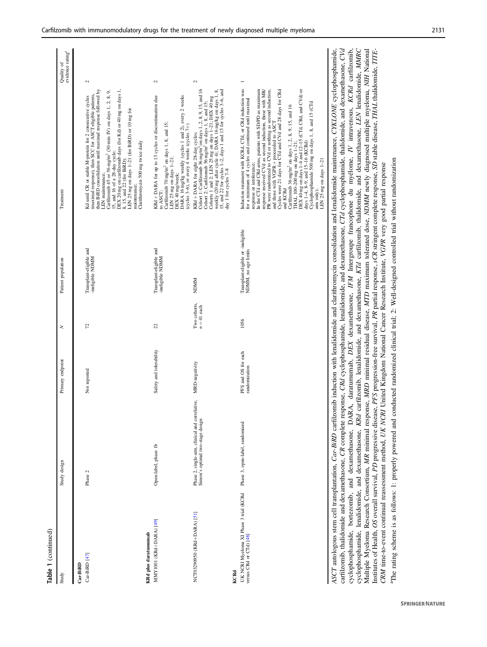| Study                                                                     | Study design                                                                       | Primary endpoint                     | z                             | Patient population                                        | Treatment                                                                                                                                                                                                                                                                                                                                                                                                                                                                                                                                                                                                                                                                                                                                              | evidence rating <sup>a</sup><br>Quality of |
|---------------------------------------------------------------------------|------------------------------------------------------------------------------------|--------------------------------------|-------------------------------|-----------------------------------------------------------|--------------------------------------------------------------------------------------------------------------------------------------------------------------------------------------------------------------------------------------------------------------------------------------------------------------------------------------------------------------------------------------------------------------------------------------------------------------------------------------------------------------------------------------------------------------------------------------------------------------------------------------------------------------------------------------------------------------------------------------------------------|--------------------------------------------|
| $Car-BiRD$ [47]<br>Car-BiRD                                               | Phase 2                                                                            | Not reported                         | 72                            | Transplant-eligible and<br>-ineligible NDMM               | 2<br>DEX 20 mg on carfilzomib days (for Kd) or 40 mg on days 1,<br>then BiRD consolidation until maximal response followed by<br>Carfilzomib 45 or 56 mg/m <sup>2</sup> (30-min IV) on days 1, 2, 8, 9,<br>Kd until CR or stable M-protein for 2 consecutive cycles<br>(maximal response), then SCC for ASCT-eligible patients,<br>LEN 25 mg on days 1-21 (for BiRD) or 10 mg for<br>Clarithromycin 500 mg twice daily<br>15, and 16 of a 28-day cycle;<br>8, 15, and 22 (for BiRD);<br>LEN maintenance;<br>maintenance;                                                                                                                                                                                                                               |                                            |
| MMY1001 (KRd+DARA) [49]<br>KRd plus daratumumab                           | Open-label, phase 1b                                                               | Safety and tolerability              | 22                            | Transplant-eligible and<br>-ineligible NDMM               | 2<br>DARA 16 mg/kg weekly (cycles 1 and 2), every 2 weeks<br>KRd + DARA for up to 13 cycles or discontinuation due<br>Carfilzomib 70 mg/m <sup>2</sup> on days 1, 8, and 15;<br>(cycles $3-6$ ), or every 4 weeks (cycles $7+$ )<br>LEN $25$ mg on days $1-21$ ;<br>DEX 40 mg/week;<br>to ASCT:                                                                                                                                                                                                                                                                                                                                                                                                                                                        |                                            |
| NCT03290950 (KRd+DARA) [51]                                               | Phase 2, single-arm, clinical and correlative,<br>Simon's optimal two-stage design | MRD-negativity                       | Two cohorts,<br>$n = 41$ each | NDMM                                                      | $\sim$<br>KRd + DARA for eight 28-day cycles;<br>Cohort 1: Carfilzomib 36 mg/m <sup>2</sup> on days 1, 2, 8, 9, 15, and 16<br>Cohort 2: Carfilzomib 56 mg/m <sup>2</sup> on days 1, 8, and 15;<br>15, and 22 for cycles $1-2$ , days 1 and 15 for cycles $3-6$ , and<br>Cohorts 1 and 2: LEN 25 mg on days $1-21$ ; DEX 40 mg<br>weekly (20 mg after cycle 4); DARA 16 mg/kg on days 1, 8,<br>day 1 for cycles 7-8                                                                                                                                                                                                                                                                                                                                     |                                            |
| UK NCRI Myeloma XI Phase 3 trial (KCRd<br>versus CRd or CTd) [48]<br>KCRd | Phase 3, open-label, randomized                                                    | PFS and OS for each<br>randomization | 1056                          | Transplant-eligible or -ineligible<br>NDMM, no age limits | Induction treatment with KCRd, CTd, or CRd induction was<br>In the CTd and CRd arms, patients with SD/PD as maximum<br>DEX 40 mg on days 1-4 and 12-15 (CTd, CRd, and CVd) or<br>Cycles were 21 days for CTd and CVd and 28 days for CRd<br>response received CVd as second induction, those with MR/<br>PR were randomized to CVd or nothing as second induction,<br>for a minimum of 4 cycles and continued until maximal<br>Cyclophosphamide 500 mg on days 1, 8, and 15 (CTd<br>Carfilzomib 36 mg/m <sup>2</sup> on days 1, 2, 8, 9, 15, and 16<br>and those with VGPR + proceeded to ASCT<br>THAL 100-200 mg on days 1-21;<br>days 1-4, 8-9, and 15-16 (KCRd)<br>LEN $25$ mg on days $1-21$<br>response or intolerance;<br>and KCRd<br>arm only); |                                            |
|                                                                           |                                                                                    |                                      |                               |                                                           | ASCT autologous stem cell transplantation, Car-BiRD carfilzomib induction with lenalidomide and clarithromycin consolidation and lenalidomide maintenance, CYKLONE cyclophosphamide,                                                                                                                                                                                                                                                                                                                                                                                                                                                                                                                                                                   |                                            |

Table 1 (continued)

Table 1 (continued)

carfilzomib, thalidomide and dexamethasone, CR complete response, CRd cyclophosphamide, lenalidomide, and dexamethasone, CTd cyclophosphamide, thalidomide, and dexamethasone, CVd carfilzomib, thalidomide and dexamethasone, CR complete response, CRd cyclophosphamide, lenalidomide, and dexamethasone, CTd cyclophosphamide, thalidomide, and dexamethasone, CVd IV intravenous, KCRd carfilzomib, lenalidomide, and dexamethasone, KRd carfilzomib, lenalidomide, and dexamethasone, KTd carfilzomib, thalidomide, and dexamethasone, LEN lenalidomide, MMRC Research Consortium, MR minimal response, MRD minimal residual disease, MTD maximum tolerated dose, NDMM newly diagnosed multiple myeloma, NIH National Institutes of Health, OS overall survival, PD progressive disease, PFS progression-free survival, PR partial response, sCR stringent complete response, SD stable disease, THAL thalidomide, TITEcyclophosphamide, bortezomib, and dexamethasone, DARA, daratumunab, DEX dexamethasone, IFM Intergroupe francophone du myélome, IV intravenous, KCRd carfilzomib, cyclophosphamide, lenalidomide, and dexamethasone, KRd carfilzomib, lenalidomide, and dexamethasone, KTd carfilzomib, thalidomide, and dexamethasone, LEN lenalidomide, MMRC Multiple Myeloma Research Consortium, MR minimal response, MRD minimal residual disease, MTD maximum tolerated dose, NDMM newly diagnosed multiple myeloma, NIH National Institutes of Health, OS overall survival, PD progressive disease, PFS progression-free survival, PR partial response, sCR stringent complete response, SD stable disease, THAL thalidomide, TITEbortezomib, and dexamethasone, DARA, daratumumab, DEX dexamethasone, IFM Intergroupe francophone du myélome, CRM time-to-event continual reassessment method, UK NCRI United Kingdom National Cancer Research Institute, VGPR very good partial response CRM time-to-event continual reassessment method, UK NCRI United Kingdom National Cancer Research Institute, VGPR very good partial response cyclophosphamide, cyclophosphamide. Multiple Myeloma

"The rating scheme is as follows: 1: properly powered and conducted randomized clinical trial; 2: Well-designed controlled trial without randomization aThe rating scheme is as follows: 1: properly powered and conducted randomized clinical trial; 2: Well-designed controlled trial without randomization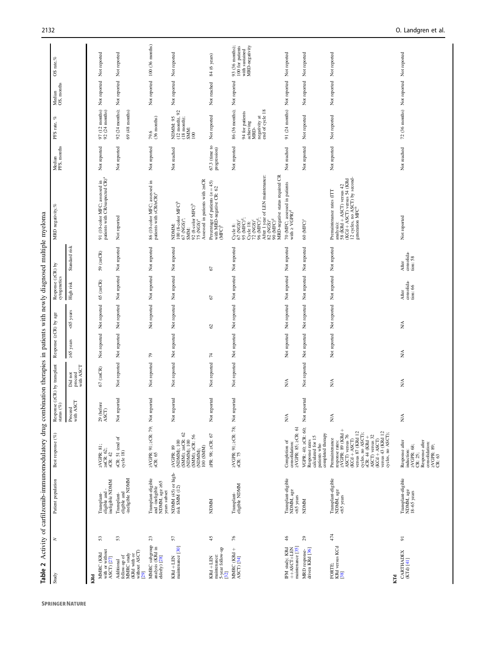<span id="page-5-0"></span>

| Study                                                                             | z              | Patient population                                                      | Best response (%)                                                                                                                                                                                                                          | F)<br>Respon<br>status ( | se (2CR) by transplant           | Response (2CR) by | age                                    | Response (2CR) by<br>cytogenetics |                                               | MRD negativity,%                                                                                                                                                                                                                                                    | Median<br>PFS, months                      | Ø,<br>PFS rate,                                                                                               | Median<br>OS, months | OS rate,%                                                               |
|-----------------------------------------------------------------------------------|----------------|-------------------------------------------------------------------------|--------------------------------------------------------------------------------------------------------------------------------------------------------------------------------------------------------------------------------------------|--------------------------|----------------------------------|-------------------|----------------------------------------|-----------------------------------|-----------------------------------------------|---------------------------------------------------------------------------------------------------------------------------------------------------------------------------------------------------------------------------------------------------------------------|--------------------------------------------|---------------------------------------------------------------------------------------------------------------|----------------------|-------------------------------------------------------------------------|
|                                                                                   |                |                                                                         |                                                                                                                                                                                                                                            | with ASCT<br>Proceed     | Did not<br>proceed<br>with ASCT  | $\geq 65$ years   | years<br>$< 65$                        | High risk                         | Standard risk                                 |                                                                                                                                                                                                                                                                     |                                            |                                                                                                               |                      |                                                                         |
| MMRC (KRd<br>KRd                                                                  | 53             | Transplant-                                                             |                                                                                                                                                                                                                                            |                          | (2nCR)<br>$\mathcal{L}$          | Not reported      | Not reported                           | $65$ ( $\geq nCR$ )               | 59 (2nCR)                                     |                                                                                                                                                                                                                                                                     | Not reported                               |                                                                                                               | Not reported         | Not reported                                                            |
| with or without<br>ASCT) [27]                                                     |                | ineligible NDMM<br>eligible and                                         | $\ensuremath{\mathrm{\geq}V\mathrm{GPR}}$ 81;<br>$\ensuremath{\mathrm{snC}}\xspace R$ : 62;<br>sCR: 42                                                                                                                                     | 29 (before<br>ASCT)      |                                  |                   |                                        |                                   |                                               | 91 (10-color MFC; assessed in<br>patients with CR/suspected CR) <sup>a</sup>                                                                                                                                                                                        |                                            | 97 (12 months)<br>92 (24 months)                                                                              |                      |                                                                         |
| without ASCT)<br>follow-up of<br>MMRC study<br>(KRd with or<br>Additional<br>[29] | 53             | eligible and<br>-ineligible NDMM<br>Transplant-                         | ð<br>$sCR: 51$ (end c<br>cycle 18)                                                                                                                                                                                                         | Not reported             | reported<br>$\breve{\mathbf{z}}$ | Not reported      | Not reported                           | Not reported                      | Not reported                                  | Not reported                                                                                                                                                                                                                                                        | Not reported                               | 92 (24 months);<br>$69$ $(48$ months)                                                                         | Not reported         | Not reported                                                            |
| MMRC subgroup<br>analysis (KRd in<br>elderly) [28]                                | 23             | Transplant-eligible<br>and -ineligible<br>NDMM, age 265<br>years subset | $\geq$ VGPR: 91; $\geq$ CR: 79;<br>sCR: 65                                                                                                                                                                                                 | Not reported             | Not reported                     | $\mathcal{L}$     | Not reported                           | Not reported                      | Not reported                                  | 86 (10-color MFC; assessed in<br>patients with sCR/nCR) <sup>a</sup>                                                                                                                                                                                                | Not reported                               | $79.6$ months)                                                                                                | Not reported         | 100 (36 months)                                                         |
| maintenance [30]<br>$KRA + LEN$                                                   | 57             | NDMM (45) or high-<br>risk SMM (12)                                     | $\begin{array}{c} \geq \text{VGPR: } 89 \\ \text{(NDMM)}; 100 \\ \text{(SMM)}; \ \text{inCE: } 62 \\ \text{(NIMM)}; 100 \\ \text{(NDMM)}; 100 \end{array}$<br>(SMM); ≥CR: 56<br>100 (SMM)<br>(NDMM);                                       | Not reported             | Not reported                     | Not reported      | Not reported                           | Not reported                      | Not reported                                  | Assessed in patients with 2nCR<br>NDMM:<br>100 (8-color MFC) <sup>b</sup><br>67 (NGS) <sup>4</sup> ;<br>SMM:<br>92 (8-color MFC) <sup>b</sup><br>75 (NGS) <sup>3</sup>                                                                                              | Not reached                                | NDMM: 95<br>(12 month), 92<br>(18 month);<br>SMM:<br>SMM:                                                     | Not reported         | Not reported                                                            |
| 5-year follow-up<br>[32]<br>maintenance:<br>$KRd + LEN$                           | 45             | NDMM                                                                    | ≥PR: 98; ≥CR: 67                                                                                                                                                                                                                           | Not reported             | Not reported                     | $\mathcal{F}$     | $\mathcal{S}$                          | 67                                | 67                                            | Percentage of patients $(n = 45)$<br>with MRD-negative CR: 62<br>(MFC) <sup>b</sup>                                                                                                                                                                                 | $67.3$ (time to progression)               | Not reported                                                                                                  | Not reached          | 84 (6 years)                                                            |
| MMRC (KRd + ASCT) [34]                                                            | 76             | Transplant-<br>eligible NDMM                                            | $\geq$ VGPR: 91; $\geq$ CR: 78; Not repsec. 75                                                                                                                                                                                             | ported                   | Not reported                     | Not reported      | Not reported                           | Not reported                      | Not reported                                  | After 1 year of LEN maintenance:<br>82 (NGS) <sup>c</sup><br>MRD-negative status required CR<br>Cyde 8:<br>67 (NGS) <sup>e</sup><br>95 (MFC) <sup>4</sup> ,<br>96 (MFC) <sup>4</sup> ,<br>72 (NGS) <sup>6</sup><br>96 (MFC) <sup>4</sup> ,<br>90 (MFC) <sup>d</sup> | Not reported                               | 86 (36 months);<br>$\overline{18}$<br>94 for patients<br>achieving<br>MRD-<br>negativity at<br>end of cycle 1 | Not reported         | 93 (36 months);<br>100 for patients<br>with sustained<br>MRD-negativity |
| IFM study; KRd<br>++ASCT+LEN<br>maintenance [35]                                  | 46             | Transplant-eligible<br>NDMM, age<br><65 years                           | 2VGPR: 85; 2CR: 61<br>Completion of<br>consolidation:                                                                                                                                                                                      | N/A                      | ΝA                               | Not reported      | Not reported                           | Not reported                      | Not reported                                  | 70 (MFC; assessed in patients<br>with $\geq$ VGPR) $^d$                                                                                                                                                                                                             | Not reached                                | 91 $(24$ months)                                                                                              | Not reported         | Not reported                                                            |
| MRD response-<br>driven KRd [36]                                                  | 29             | <b>NDMM</b>                                                             | VGPR: 40; 2CR: 60;<br>completed therapy<br>calculated for 15<br>Response rates<br>patients who                                                                                                                                             | Not reported             | Not reported                     | Not reported      | Not reported                           | Not reported                      | Not reported                                  | 60 (MFC) <sup>c</sup>                                                                                                                                                                                                                                               | reported<br>$\stackrel{\text{of}}{\simeq}$ | Not reported                                                                                                  | Not reported         | reported<br>$\stackrel{\text{ot}}{\simeq}$                              |
| FORTE;<br>KRd versus KCd<br>[38]                                                  | 474            | Transplant-eligible<br>NDMM, age<br><65 years                           | response rates:<br>$\angle$ VGPR: 89 (KRd +<br>ASCT) versus 76<br>(KCd + ASCT)<br>versus 87 (KRd 12<br>cycles, no ASCT);<br>versus 43 (KRd 12<br>cycles, no ASCT);<br>$sCR: 44 (KRd +ASCT) versus 32$<br>Premaintenance<br>$(KCd + ASCII)$ | ΝÃ                       | ₹                                | Not reported      | Not reported Not reported Not reported |                                   |                                               | analysis):<br>$58$ (KRd + ASCT) versus 42<br>$12$ Cyd + ASCT) versus 54 (KRd<br>$12$ Cyd + ASCT) by second-<br>generation MFC <sup>b</sup><br>Premaintenance rates (ITT                                                                                             | Not reported                               | Not reported                                                                                                  | Not reported         | Not reported                                                            |
| CARTHADEX<br>(KTd) [41]<br>$K^{rd}$                                               | $\overline{5}$ | Transplant-eligible<br>NDMM, age<br>18–65 years                         | Response after<br>Response after<br>consolidation:<br>2VGPR: 89;<br>CR: 63<br>≥VGPR: 68;<br>induction:<br>CR: 25;                                                                                                                          | ΝA                       | ΝA                               | ΝA                | $\stackrel{\triangle}{\geq}$           | consolida-<br>tion: 66<br>After   | $\frac{1}{2}$ consolida-<br>tion: 58<br>After | Not reported                                                                                                                                                                                                                                                        | Not reached                                | 72 (36 months) Not reported                                                                                   |                      | Not reported                                                            |

Table 2 Activity of carfilzomib-immunomodulatory drug combination therapies in patients with newly diagnosed multiple myeloma Table 2 Activity of carfilzomib-immunomodulatory drug combination therapies in patients with newly diagnosed multiple myeloma

**SPRINGER NATURE**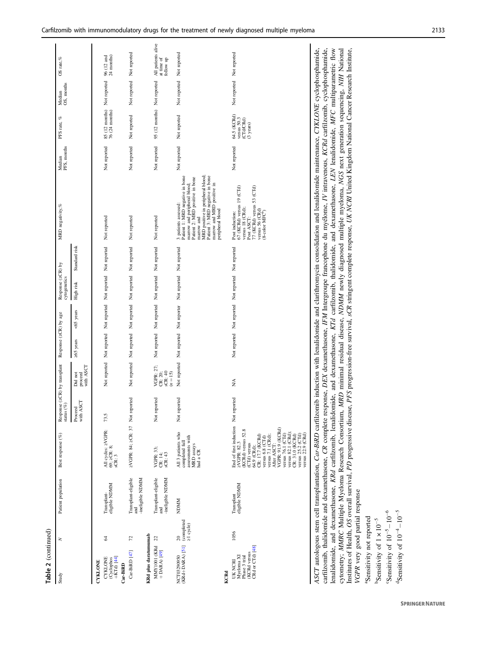| í |
|---|
| c |
| ı |
| ٦ |
|   |

| Table 2 (continued)                                                               |                 |                                                |                                                                                                                                                                                                                                                                                                                        |                                                  |                                               |                       |                                                                  |                                        |                                                                  |                                                                                                                                                                                                                                                                                                                                                                          |                       |                                                               |                           |                                               |
|-----------------------------------------------------------------------------------|-----------------|------------------------------------------------|------------------------------------------------------------------------------------------------------------------------------------------------------------------------------------------------------------------------------------------------------------------------------------------------------------------------|--------------------------------------------------|-----------------------------------------------|-----------------------|------------------------------------------------------------------|----------------------------------------|------------------------------------------------------------------|--------------------------------------------------------------------------------------------------------------------------------------------------------------------------------------------------------------------------------------------------------------------------------------------------------------------------------------------------------------------------|-----------------------|---------------------------------------------------------------|---------------------------|-----------------------------------------------|
| Study                                                                             | z               | Patient population                             | Best response (%)                                                                                                                                                                                                                                                                                                      | Response (2CR) by transplant<br>$(\%)$<br>status |                                               | Response (2CR) by age |                                                                  | Response (2CR) by<br>cytogenetics      |                                                                  | MRD negativity,%                                                                                                                                                                                                                                                                                                                                                         | Median<br>PFS, months | PFS rate, %                                                   | OS, months<br>Median      | OS rate,%                                     |
|                                                                                   |                 |                                                |                                                                                                                                                                                                                                                                                                                        | with ASCT<br>Proceed                             | proceed<br>with ASCT<br>Did not               | ≥65 years             | <65 years                                                        | High risk                              | Standard risk                                                    |                                                                                                                                                                                                                                                                                                                                                                          |                       |                                                               |                           |                                               |
| <b>CYKLONE</b>                                                                    |                 |                                                |                                                                                                                                                                                                                                                                                                                        |                                                  |                                               |                       |                                                                  |                                        |                                                                  |                                                                                                                                                                                                                                                                                                                                                                          |                       |                                                               |                           |                                               |
| $+KTd$ [44]<br><b>CYKLONE</b><br>(Cyclophos<br>Car-BiRD                           | 2               | eligible NDMM<br>Transplant-                   | All cycles: 2VGPR:<br>69; 2CR: 8;<br>sCR: 3                                                                                                                                                                                                                                                                            | 73.5                                             |                                               |                       |                                                                  |                                        | Not reported Not reported Not reported Not reported Not reported | Not reported                                                                                                                                                                                                                                                                                                                                                             | Not reported          | $85 (12 months)$ $76 (24 months)$                             | Not reported              | $96$ (12 and $24$ months)                     |
| $Car-BIB$ [47]                                                                    | 72              | Transplant-eligible<br>-ineligible NDMM<br>and | 2VGPR: 84; 2CR: 37 Not reported                                                                                                                                                                                                                                                                                        |                                                  |                                               |                       | Not reported Not reported Not reported Not reported Not reported |                                        |                                                                  | Not reported                                                                                                                                                                                                                                                                                                                                                             | Not reported          | Not reported                                                  | Not reported Not reported |                                               |
| KRd plus daratumumab                                                              |                 |                                                |                                                                                                                                                                                                                                                                                                                        |                                                  |                                               |                       |                                                                  |                                        |                                                                  |                                                                                                                                                                                                                                                                                                                                                                          |                       |                                                               |                           |                                               |
| MMY1001 (KRd<br>$+$ DARA) [49]                                                    | g               | Transplant-eligible<br>-ineligible NDMM<br>and | VGPR: 33:<br>sCR: 43<br>CR: 14;                                                                                                                                                                                                                                                                                        | Not reported                                     | VGPR: 27;<br>SCR: 40<br>$(n = 15)$<br>CR: 20; | Not reported          |                                                                  | Not reported Not reported Not reported |                                                                  | Not reported                                                                                                                                                                                                                                                                                                                                                             | Not reported          | 95 (12 months) Not reported                                   |                           | All patients alive<br>at time of<br>follow up |
| (KRd+DARA) [51] (completed<br>NCT03290950                                         | ≥1 cycle)<br>20 | NDMM                                           | All 3 patients who<br>assessments with<br>completed full<br>MRD assays<br>had a CR                                                                                                                                                                                                                                     | Not reported                                     |                                               |                       | Not reported Not reported Not reporter Not reported Not reported |                                        |                                                                  | MRD positive in peripheral blood;<br>Patient 3: MRD negative in bone<br>Patient 1: MRD negative in bone<br>Patient 2: MRD positive in bone<br>marrow and MRD positive in<br>marrow and peripheral blood;<br>3 patients assessed:<br>peripheral blood<br>marrow and                                                                                                       | Not reported          | Not reported                                                  | Not reported              | Not reported                                  |
| KCRd                                                                              |                 |                                                |                                                                                                                                                                                                                                                                                                                        |                                                  |                                               |                       |                                                                  |                                        |                                                                  |                                                                                                                                                                                                                                                                                                                                                                          |                       |                                                               |                           |                                               |
| (KCRd versus<br>CRd or CTd) [48]<br>Myeloma XI<br>Phase 3 trial<br><b>UK NCRI</b> | 1056            | eligible NDMM<br>Transplant                    | End of first induction Not reported<br>VGPR: 91.9 (KCRd)<br>(KCRd) versus 52.8<br>versus 82.1 (CRd);<br>versus 76.1 (CTd)<br>CR: 31.0 (KCRd)<br>versus 25.2 (CTd)<br>versus 22.9 (CRd)<br>CR: 17.7 (KCRd)<br>versus 7.1 (CRd);<br>versus 6.8 (CTd)<br><b>ZVGPR: 82.3</b><br>(CTd) versus<br>After ASCT:<br>64.9 (CRd); |                                                  | ΝÃ                                            |                       | Not reported Not reported Not reported Not reported              |                                        |                                                                  | 67 (KCRd) versus 19 (СТd)<br>77 (KCRd) versus 53 (CTd)<br>versus 18 (CRd);<br>versus 56 (CRd)<br>(8-color MFC <sup>b</sup> )<br>Post induction:<br>Post ASCT:                                                                                                                                                                                                            | Not reported          | 64.5 (KCRd)<br>versus 50.3<br>(CTdCRd)<br>$(3 \text{ years})$ | Not reported Not reported |                                               |
|                                                                                   |                 |                                                |                                                                                                                                                                                                                                                                                                                        |                                                  |                                               |                       |                                                                  |                                        |                                                                  | ASCT autologous stem cell transplantation, Car-BiRD carfilzomib induction with lenalidomide and clarithromycin consolidation and lenalidomide maintenance, CYKLONE cyclophosphamide,<br>carfilzomib, thalidomide and dexamethasone, CR complete response, DEX dexamethasone, IFM Intergroupe francophone du myélome, IV intravenous, KCRd carfilzomib, cyclophosphamide, |                       |                                                               |                           |                                               |

lenalidomide, and dexamethasone, KRd carfilzomib, lenalidomide, and dexamethasone, KTd carfilzomib, thalidomide, and dexamethasone, LEN lenalidomide, MFC multiparametric flow cytometry; MMRC Multiple Myeloma Research Consortium, MRD minimal residual disease, NDMM newly diagnosed multiple myeloma, NGS next generation sequencing, NIH National Institute, NEW Walcoma National Surversive disease, PF lenalidomide, and dexamethasone, KRd carfilzomib, lenalidomide, and dexamethasone, KTd carfilzomid, thalidomide, and dexamethasone, LEN lenalidomide, MFC multiparametric flow cytometry; *MMRC* Multiple Myeloma Research Consortium, *MRD* minimal residual disease, *NDMM* newly diagnosed multiple myeloma, *NGS* next generation sequencing, *NIH* National Institutes of Health, OS overall survival, PD progressive disease, PFS progression-free survival, sCR stringent complete response, UK NCRI United Kingdom National Cancer Research Institute, VGPR very good partial response VGPR very good partial response ී  $\overline{z}$ 

aSensitivity not reported aSensitivity not reported

 $b$ Sensitivity of  $1 \times 10^{-5}$ bSensitivity of 1 × 10<sup>-5</sup>

cSensitivity of 10−5 "Sensitivity of  $10^{-5}-10^{-6}$ 

dSensitivity of 10−4  $^{4}$ Sensitivity of  $10^{-4} - 10^{-5}$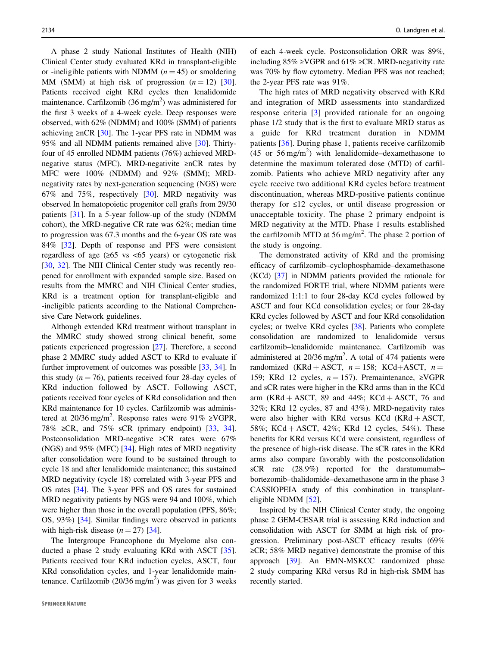A phase 2 study National Institutes of Health (NIH) Clinical Center study evaluated KRd in transplant-eligible or -ineligible patients with NDMM  $(n = 45)$  or smoldering MM (SMM) at high risk of progression  $(n = 12)$  [\[30](#page-14-0)]. Patients received eight KRd cycles then lenalidomide maintenance. Carfilzomib  $(36 \text{ mg/m}^2)$  was administered for the first 3 weeks of a 4-week cycle. Deep responses were observed, with 62% (NDMM) and 100% (SMM) of patients achieving ≥nCR [[30\]](#page-14-0). The 1-year PFS rate in NDMM was 95% and all NDMM patients remained alive [[30\]](#page-14-0). Thirtyfour of 45 enrolled NDMM patients (76%) achieved MRDnegative status (MFC). MRD-negativite ≥nCR rates by MFC were 100% (NDMM) and 92% (SMM); MRDnegativity rates by next-generation sequencing (NGS) were 67% and 75%, respectively [\[30](#page-14-0)]. MRD negativity was observed In hematopoietic progenitor cell grafts from 29/30 patients [[31\]](#page-15-0). In a 5-year follow-up of the study (NDMM cohort), the MRD-negative CR rate was 62%; median time to progression was 67.3 months and the 6-year OS rate was 84% [[32\]](#page-15-0). Depth of response and PFS were consistent regardless of age ( $\geq 65$  vs  $\lt 65$  years) or cytogenetic risk [\[30](#page-14-0), [32](#page-15-0)]. The NIH Clinical Center study was recently reopened for enrollment with expanded sample size. Based on results from the MMRC and NIH Clinical Center studies, KRd is a treatment option for transplant-eligible and -ineligible patients according to the National Comprehensive Care Network guidelines.

Although extended KRd treatment without transplant in the MMRC study showed strong clinical benefit, some patients experienced progression [[27\]](#page-14-0). Therefore, a second phase 2 MMRC study added ASCT to KRd to evaluate if further improvement of outcomes was possible [[33](#page-15-0), [34](#page-15-0)]. In this study ( $n = 76$ ), patients received four 28-day cycles of KRd induction followed by ASCT. Following ASCT, patients received four cycles of KRd consolidation and then KRd maintenance for 10 cycles. Carfilzomib was administered at 20/36 mg/m<sup>2</sup>. Response rates were 91% ≥VGPR, 78% ≥CR, and 75% sCR (primary endpoint) [\[33](#page-15-0), [34](#page-15-0)]. Postconsolidation MRD-negative ≥CR rates were 67% (NGS) and 95% (MFC) [\[34](#page-15-0)]. High rates of MRD negativity after consolidation were found to be sustained through to cycle 18 and after lenalidomide maintenance; this sustained MRD negativity (cycle 18) correlated with 3-year PFS and OS rates [[34\]](#page-15-0). The 3-year PFS and OS rates for sustained MRD negativity patients by NGS were 94 and 100%, which were higher than those in the overall population (PFS, 86%; OS, 93%) [[34\]](#page-15-0). Similar findings were observed in patients with high-risk disease  $(n = 27)$  [\[34](#page-15-0)].

The Intergroupe Francophone du Myelome also conducted a phase 2 study evaluating KRd with ASCT [\[35](#page-15-0)]. Patients received four KRd induction cycles, ASCT, four KRd consolidation cycles, and 1-year lenalidomide maintenance. Carfilzomib  $(20/36 \text{ mg/m}^2)$  was given for 3 weeks

of each 4-week cycle. Postconsolidation ORR was 89%, including  $85\% \geq VGPR$  and  $61\% \geq CR$ . MRD-negativity rate was 70% by flow cytometry. Median PFS was not reached; the 2-year PFS rate was 91%.

The high rates of MRD negativity observed with KRd and integration of MRD assessments into standardized response criteria [[3](#page-14-0)] provided rationale for an ongoing phase 1/2 study that is the first to evaluate MRD status as a guide for KRd treatment duration in NDMM patients [[36](#page-15-0)]. During phase 1, patients receive carfilzomib (45 or  $56 \text{ mg/m}^2$ ) with lenalidomide–dexamethasone to determine the maximum tolerated dose (MTD) of carfilzomib. Patients who achieve MRD negativity after any cycle receive two additional KRd cycles before treatment discontinuation, whereas MRD-positive patients continue therapy for ≤12 cycles, or until disease progression or unacceptable toxicity. The phase 2 primary endpoint is MRD negativity at the MTD. Phase 1 results established the carfilzomib MTD at 56 mg/m<sup>2</sup>. The phase 2 portion of the study is ongoing.

The demonstrated activity of KRd and the promising efficacy of carfilzomib–cyclophosphamide–dexamethasone (KCd) [[37\]](#page-15-0) in NDMM patients provided the rationale for the randomized FORTE trial, where NDMM patients were randomized 1:1:1 to four 28-day KCd cycles followed by ASCT and four KCd consolidation cycles; or four 28-day KRd cycles followed by ASCT and four KRd consolidation cycles; or twelve KRd cycles [[38\]](#page-15-0). Patients who complete consolidation are randomized to lenalidomide versus carfilzomib–lenalidomide maintenance. Carfilzomib was administered at  $20/36$  mg/m<sup>2</sup>. A total of 474 patients were randomized (KRd + ASCT,  $n = 158$ ; KCd+ASCT,  $n =$ 159; KRd 12 cycles,  $n = 157$ ). Premaintenance, ≥VGPR and sCR rates were higher in the KRd arms than in the KCd arm (KRd + ASCT, 89 and 44%; KCd + ASCT, 76 and 32%; KRd 12 cycles, 87 and 43%). MRD-negativity rates were also higher with KRd versus KCd (KRd + ASCT, 58%; KCd + ASCT, 42%; KRd 12 cycles, 54%). These benefits for KRd versus KCd were consistent, regardless of the presence of high-risk disease. The sCR rates in the KRd arms also compare favorably with the postconsolidation sCR rate (28.9%) reported for the daratumumab– bortezomib–thalidomide–dexamethasone arm in the phase 3 CASSIOPEIA study of this combination in transplanteligible NDMM [[52\]](#page-15-0).

Inspired by the NIH Clinical Center study, the ongoing phase 2 GEM-CESAR trial is assessing KRd induction and consolidation with ASCT for SMM at high risk of progression. Preliminary post-ASCT efficacy results (69% ≥CR; 58% MRD negative) demonstrate the promise of this approach [[39\]](#page-15-0). An EMN-MSKCC randomized phase 2 study comparing KRd versus Rd in high-risk SMM has recently started.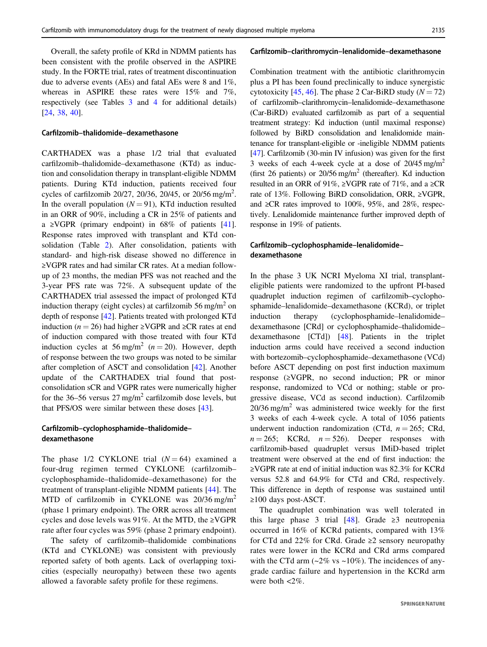Overall, the safety profile of KRd in NDMM patients has been consistent with the profile observed in the ASPIRE study. In the FORTE trial, rates of treatment discontinuation due to adverse events (AEs) and fatal AEs were 8 and 1%, whereas in ASPIRE these rates were 15% and 7%, respectively (see Tables [3](#page-9-0) and [4](#page-11-0) for additional details) [\[24](#page-14-0), [38](#page-15-0), [40\]](#page-15-0).

### Carfilzomib–thalidomide–dexamethasone

CARTHADEX was a phase 1/2 trial that evaluated carfilzomib–thalidomide–dexamethasone (KTd) as induction and consolidation therapy in transplant-eligible NDMM patients. During KTd induction, patients received four cycles of carfilzomib 20/27, 20/36, 20/45, or 20/56 mg/m<sup>2</sup>. In the overall population  $(N = 91)$ , KTd induction resulted in an ORR of 90%, including a CR in 25% of patients and a ≥VGPR (primary endpoint) in  $68\%$  of patients [\[41](#page-15-0)]. Response rates improved with transplant and KTd consolidation (Table [2](#page-5-0)). After consolidation, patients with standard- and high-risk disease showed no difference in ≥VGPR rates and had similar CR rates. At a median followup of 23 months, the median PFS was not reached and the 3-year PFS rate was 72%. A subsequent update of the CARTHADEX trial assessed the impact of prolonged KTd induction therapy (eight cycles) at carfilzomib 56 mg/m<sup>2</sup> on depth of response [[42\]](#page-15-0). Patients treated with prolonged KTd induction ( $n = 26$ ) had higher ≥VGPR and ≥CR rates at end of induction compared with those treated with four KTd induction cycles at  $56 \text{ mg/m}^2$  ( $n = 20$ ). However, depth of response between the two groups was noted to be similar after completion of ASCT and consolidation [[42\]](#page-15-0). Another update of the CARTHADEX trial found that postconsolidation sCR and VGPR rates were numerically higher for the 36–56 versus  $27 \text{ mg/m}^2$  carfilzomib dose levels, but that PFS/OS were similar between these doses [[43\]](#page-15-0).

# Carfilzomib–cyclophosphamide–thalidomide– dexamethasone

The phase 1/2 CYKLONE trial  $(N = 64)$  examined a four-drug regimen termed CYKLONE (carfilzomib– cyclophosphamide–thalidomide–dexamethasone) for the treatment of transplant-eligible NDMM patients [\[44\]](#page-15-0). The MTD of carfilzomib in CYKLONE was  $20/36$  mg/m<sup>2</sup> (phase 1 primary endpoint). The ORR across all treatment cycles and dose levels was 91%. At the MTD, the ≥VGPR rate after four cycles was 59% (phase 2 primary endpoint).

The safety of carfilzomib–thalidomide combinations (KTd and CYKLONE) was consistent with previously reported safety of both agents. Lack of overlapping toxicities (especially neuropathy) between these two agents allowed a favorable safety profile for these regimens.

#### Carfilzomib–clarithromycin–lenalidomide–dexamethasone

Combination treatment with the antibiotic clarithromycin plus a PI has been found preclinically to induce synergistic cytotoxicity [\[45](#page-15-0), [46\]](#page-15-0). The phase 2 Car-BiRD study ( $N = 72$ ) of carfilzomib–clarithromycin–lenalidomide–dexamethasone (Car-BiRD) evaluated carfilzomib as part of a sequential treatment strategy: Kd induction (until maximal response) followed by BiRD consolidation and lenalidomide maintenance for transplant-eligible or -ineligible NDMM patients [\[47\]](#page-15-0). Carfilzomib (30-min IV infusion) was given for the first 3 weeks of each 4-week cycle at a dose of  $20/45$  mg/m<sup>2</sup> (first 26 patients) or  $20/56$  mg/m<sup>2</sup> (thereafter). Kd induction resulted in an ORR of 91%, ≥VGPR rate of 71%, and a ≥CR rate of 13%. Following BiRD consolidation, ORR, ≥VGPR, and  $\geq$ CR rates improved to 100%, 95%, and 28%, respectively. Lenalidomide maintenance further improved depth of response in 19% of patients.

### Carfilzomib–cyclophosphamide–lenalidomide– dexamethasone

In the phase 3 UK NCRI Myeloma XI trial, transplanteligible patients were randomized to the upfront PI-based quadruplet induction regimen of carfilzomib–cyclophosphamide–lenalidomide–dexamethasone (KCRd), or triplet induction therapy (cyclophosphamide–lenalidomide– dexamethasone [CRd] or cyclophosphamide–thalidomide– dexamethasone [CTd]) [[48\]](#page-15-0). Patients in the triplet induction arms could have received a second induction with bortezomib–cyclophosphamide–dexamethasone (VCd) before ASCT depending on post first induction maximum response (≥VGPR, no second induction; PR or minor response, randomized to VCd or nothing; stable or progressive disease, VCd as second induction). Carfilzomib  $20/36$  mg/m<sup>2</sup> was administered twice weekly for the first 3 weeks of each 4-week cycle. A total of 1056 patients underwent induction randomization (CTd,  $n = 265$ ; CRd,  $n = 265$ ; KCRd,  $n = 526$ ). Deeper responses with carfilzomib-based quadruplet versus IMiD-based triplet treatment were observed at the end of first induction: the ≥VGPR rate at end of initial induction was 82.3% for KCRd versus 52.8 and 64.9% for CTd and CRd, respectively. This difference in depth of response was sustained until ≥100 days post-ASCT.

The quadruplet combination was well tolerated in this large phase 3 trial  $[48]$  $[48]$  $[48]$ . Grade ≥3 neutropenia occurred in 16% of KCRd patients, compared with 13% for CTd and 22% for CRd. Grade ≥2 sensory neuropathy rates were lower in the KCRd and CRd arms compared with the CTd arm  $(\sim 2\% \text{ vs } \sim 10\%)$ . The incidences of anygrade cardiac failure and hypertension in the KCRd arm were both <2%.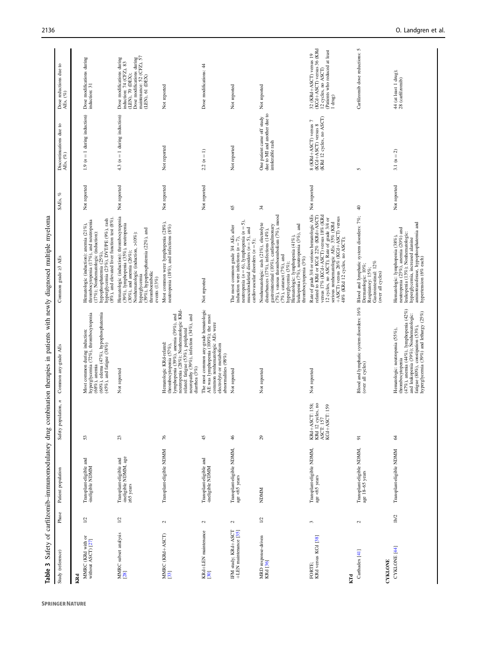<span id="page-9-0"></span>

| Study (reference)                            | Phase                    | Patient population                                            | $\mathsf{ion}, n$<br>Safety populati<br>din                             | Common any-grade AEs                                                                                                                                                                                                                               | Common grade ≥3 AEs                                                                                                                                                                                                                                                                                                                                            | eg.<br>SAEs, | Discontinuations due to AEs, $(\%)$                                            | Dose reductions due to AEs, $(\%)$                                                                                                                      |
|----------------------------------------------|--------------------------|---------------------------------------------------------------|-------------------------------------------------------------------------|----------------------------------------------------------------------------------------------------------------------------------------------------------------------------------------------------------------------------------------------------|----------------------------------------------------------------------------------------------------------------------------------------------------------------------------------------------------------------------------------------------------------------------------------------------------------------------------------------------------------------|--------------|--------------------------------------------------------------------------------|---------------------------------------------------------------------------------------------------------------------------------------------------------|
| KRd                                          |                          |                                                               |                                                                         |                                                                                                                                                                                                                                                    |                                                                                                                                                                                                                                                                                                                                                                |              |                                                                                |                                                                                                                                                         |
| MMRC (KRd with or<br>without ASCT) $[27]$    | 75                       | Transplant-eligible and<br>-ineligible NDMM                   | 53                                                                      | hyperglycemia (72%), thrombocytopenia<br>(60%), edema (47%), hypophosphatemia<br>(45%), and fatigue (38%)<br>Most common during induction:<br>$(68\%)$ , anemia                                                                                    | hypophosphatemia $(25\%)$ ,<br>hyperglycemia $(23\%)$ , DVT/PE $(9\%)$ , rash<br>(8%), and elevated liver function test (8%).<br>Hematologic (induction): anemia $(21\%)$ ,<br>thrombocytopenia $(17\%)$ , and neutropenia<br>(17%); Nonhematologic (induction):                                                                                               | Not reported | 1.9 ( $n = 1$ during induction)                                                | Dose modifications during<br>induction: 31                                                                                                              |
| MMRC subset analysis<br>[28]                 | $\overline{\mathcal{L}}$ | Transplant-eligible and<br>-ineligible NDMM, age<br>≥65 years | 23                                                                      | Not reported                                                                                                                                                                                                                                       | Hematologic (induction): thrombocytopenia<br>(39%), lymphopenia (35%), neutropenia<br>(39%), hypophosphatemia (22%), and<br>Nonhematologic (induction, >10%):<br>$(30\%)$ , and anemia $(26\%)$<br>thromboembolic<br>hyperglycemia<br>events $(13%)$                                                                                                           | Not reported | 4.3 ( $n = 1$ during induction)                                                | Dose modifications during<br>maintenance: 52 (CFZ), 57<br>Dose modifications during<br>induction: $74$ (CFZ), 83<br>(LEN), 70 (DEX);<br>(LEN), 61 (DEX) |
| MMRC (KRd+ASCT)<br>[33]                      | $\sim$                   | Transplant-eligible NDMM                                      | 76                                                                      | neutropenia (28%); Nonhematologic KRd-<br>thrombocytopenia (57%),<br>lymphopenia (39%), anemia (39%), and<br>related: fatigue $(53\%)$ , peripheral<br>neuropathy $(39\%)$ , infection $(34\%)$ , and<br>Hematologic KRd-related:<br>diarrhea (3%) | Most common were lymphopenia $(28\%)$ ,<br>neutropenia $(18\%)$ , and infections $(8\%)$                                                                                                                                                                                                                                                                       | Not reported | Not reported                                                                   | Not reported                                                                                                                                            |
| KRd+LEN maintenance<br>[30]                  | $\sim$                   | Transplant-eligible and<br>-ineligible NDMM                   | 45                                                                      | The most common any-grade hematologic<br>AE was lymphopenia $(100\%)$ ; the most<br>common nonhematologic AEs were<br>electrolyte or metabolism<br>abnormalities (98%)                                                                             | Not reported                                                                                                                                                                                                                                                                                                                                                   | Not reported | $22(n=1)$                                                                      | Dose modifications: 44                                                                                                                                  |
| IFM study; KRd+ASCT<br>+LEN maintenance [35] | $\sim$                   | Transplant-eligible NDMM,<br>age <65 years                    | 46                                                                      | Not reported                                                                                                                                                                                                                                       | neutropenia ( $n = 6$ ), lymphopenia ( $n = 5$ ),<br>The most common grade 3/4 AEs after<br>musculoskeletal disorders $(n = 5)$ , and<br>induction were infections $(n = 7)$ ,<br>cardiovascular disorders $(n = 5)$ ;                                                                                                                                         | 65           | Not reported                                                                   | Not reported                                                                                                                                            |
| MRD response-driven<br>KRd [36]              | 1/2                      | <b>NDMM</b>                                                   | 29                                                                      | Not reported                                                                                                                                                                                                                                       | $(7\%)$ , venous thromboembolism $(7\%)$ , mood<br>Nonhematologic: rash (21%), electrolyte<br>Hematologic: lymphopenia $(41\%)$ ,<br>leukopenia (7%), neutropenia (3%), and<br>gastrointestinal (10%), cardiopulmonary<br>disturbances $(17\%)$ , infections $(14\%)$ .<br>$(7\%)$ , cataract $(7\%)$ , and<br>thrombocytopenia $(3\%)$<br>hyperglycemia (3%); | 34           | One patient came off study<br>due to MI and another due to<br>intolerable rash | Not reported                                                                                                                                            |
| KRd versus KCd <sup>[38]</sup><br>FORTE:     | 3                        | Transplant-eligible NDMM,<br>age <65 years                    | KRd 12 cycles, no<br>ASCT: 157<br>158;<br>159<br>KCd+ASCT:<br>KRd+ASCT: | Not reported                                                                                                                                                                                                                                       | Rate of grade 3/4 or serious hematologic AEs<br>versus 17% (KCd+ASCT) versus 18% (KRd<br>related to KRd or KCd: 22% (KRd+ASCT)<br>12 cycles, no ASCT); Rate of grade $3/4$ or sectious nonhematologic AEs: $35\%$ (KRd + ASCT) versus $26\%$ (KCd+ASCT) versus $48\%$ (KRd 12 cycles, no ASCT);                                                                | Not reported | (KCd+ASCT) versus $8$<br>(KRd 12 cycles, no ASCT)<br>8 (KRd+ASCT) versus 7     | (KCd+ASCT) versus 36 (KRd<br>12 cycles, no ASCT)<br>(Patients who reduced at least<br>32 (KRd+ASCT) versus 19<br>1 drug)                                |
| Carthadex [41]<br>KTd                        | $\sim$                   | Transplant-eligible NDMM,<br>age 18-65 years                  | 51                                                                      | Blood and lymphatic system disorders: 16%<br>(over all cycles)                                                                                                                                                                                     | Blood and lymphatic system disorders: 7%;<br>Gastrointestinal: 12%<br>Dermatologic: 10%;<br>Respiratory: 15%;<br>(over all cycles)                                                                                                                                                                                                                             | $\theta$     | 5                                                                              | Carfilzomib dose reductions: 5                                                                                                                          |
| CYKLONE [44]<br><b>CYKLONE</b>               | $1b/2$                   | Transplant-eligible NDMM                                      | 2                                                                       | (47%), anémia (44%), lymphopenia (42%)<br>and leukopenia (39%); Nonhernatologic:<br>fatigue (80%), constipation (53%),<br>hyperglycemia (39%) and lethargy (25%)<br>Hematologic: neutropenia (55%),<br>thrombocytopenia                            | hyperglycemia, increased alanine<br>aminotransferase, hypophosphatemia and<br>hypertension (6% each)<br>neutropenia (23%), anemia (20%) and<br>leukopenia (13%); Nonhematologic:<br>Hematologic: lymphopenia (38%),                                                                                                                                            | Not reported | 3.1 $(n = 2)$                                                                  | 44 (at least 1 drug);<br>28 (carfilzomib)                                                                                                               |

Table 3 Safety of carfilizomib-immunomodulatory drug combination therapies in patients with newly diagnosed multiple myeloma Table 3 Safety of carfilzomib–immunomodulatory drug combination therapies in patients with newly diagnosed multiple myeloma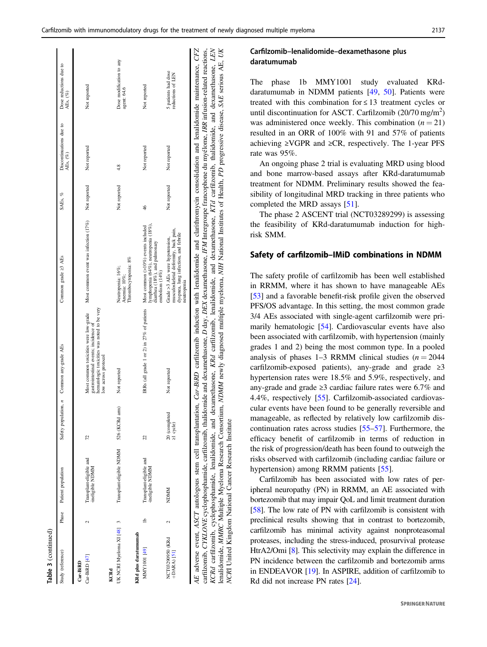| from and a cameral              |                                             |                            |                                                                                                                                                      |                                                                                                                                   |               |                                     |                                          |
|---------------------------------|---------------------------------------------|----------------------------|------------------------------------------------------------------------------------------------------------------------------------------------------|-----------------------------------------------------------------------------------------------------------------------------------|---------------|-------------------------------------|------------------------------------------|
| Study (reference)               | Phase Patient population                    |                            | Safety population, <i>n</i> Common any-grade AEs                                                                                                     | Common grade 23 AEs                                                                                                               | SAEs, %       | Discontinuations due to<br>AEs, (%) | Dose reductions due to<br>AEs, (%)       |
| Car-BiRD                        |                                             |                            |                                                                                                                                                      |                                                                                                                                   |               |                                     |                                          |
| Car-BiRD [47]                   | Transplant-eligible and<br>-ineligible NDMM | 72                         | hematologic toxicities was noted to be very<br>Most common toxicities were low-grade<br>gastrointestinal events; incidence of<br>low across protocol | Most common event was infection (17%)                                                                                             | Not reported  | Not reported                        | Not reported                             |
| <b>KCRd</b>                     |                                             |                            |                                                                                                                                                      |                                                                                                                                   |               |                                     |                                          |
| UK NCRI Myeloma XI [48] 3       | Transplant-eligible NDMM                    | 526 (KCRd arm)             | Not reported                                                                                                                                         | Thrombocytopenia: 8%<br>Neutropenia: 16%;<br>Anemia: 10%;                                                                         | Not reported  | 4.8                                 | Dose modification to any<br>agent: 64.6  |
| KRd plus daratumumab            |                                             |                            |                                                                                                                                                      |                                                                                                                                   |               |                                     |                                          |
| MMY1001 [49]                    | Transplant-eligible and<br>-ineligible NDMM | 22                         | IRRs (all grade 1 or 2) in 27% of patients                                                                                                           | lymphopenia (64%), neutropenia (18%),<br>diarrhea (18%), and pulmonary<br>Most common (>10%) events included<br>embolism $(14\%)$ | $\frac{4}{6}$ | Not reported                        | Not reported                             |
| NCT03290950 (KRd<br>+DARA) [51] | <b>NDMM</b>                                 | 20 (completed<br>≥1 cycle) | Not reported                                                                                                                                         | musculoskeletal deformity, back pain,<br>dyspnea, lung infection, and febrile<br>Grade >3 AEs were hypotension,<br>neutropenia    | Not reported  | Not reported                        | 5 patients had dose<br>reductions of LEN |
|                                 |                                             |                            |                                                                                                                                                      |                                                                                                                                   |               |                                     |                                          |

AE adverse event, ASCT autologous stem cell transplantation, Car-BiRD carfilzomib induction with lenalidomide and clarithromycin consolidation and lenalidomide maintenance, CFZ KCRd carfilzomib, cyclophosphamide, lenalidomide, and dexamethasone, KRd carfilzomib, lenalidomide, and dexamethasone, KTd carfilzomib, thalidomide, and dexamethasone, LEN lenalidomide, MMRC Multiple Myeloma Research Consortium, NDMM newly diagnosed multiple myeloma, NIH National Institutes of Health, PD progressive disease, SAE serious AE, UK AE adverse event, ASCT autologous stem cell transplantation, Car-BiRD carfilzomib induction with lenalidomide and clarithromycin consolidation and lenalidomide maintenance, CFZ carfilzomib, CYKLONE cyclophosphamide, carfilzomib, thalidomide and dexamethasone, D day, DEX dexamethasone, IFM Intergroupe francophone du myélome, IRR infusion-related reactions, D day, DEX dexamethasone, IFM Intergroupe francophone du myélome, IRR infusion-related reactions, carfilzomib, thalidomide, and dexamethasone, LEN serious AE, UK SAE<sub>s</sub> newly diagnosed multiple myeloma, NIH National Institutes of Health, PD progressive disease, and dexamethasone, KTd lenalidomide, carfilzomib, carfilzomib, CYKLONE cyclophosphamide, carfilzomib, thalidomide and dexamethasone, KCRd carfilzomib, evclophosphamide, lenalidomide, and dexamethasone, KRd Consortium, NDMM VCRI United Kingdom National Cancer Research Institute NCRI United Kingdom National Cancer Research Institute Research MMRC Multiple Myeloma lenalidomide,

# Carfilzomib–lenalidomide–dexamethasone plus daratumumab

The phase 1b MMY1001 study evaluated KRddaratumumab in NDMM patients [\[49](#page-15-0), [50](#page-15-0)]. Patients were treated with this combination for ≤ 13 treatment cycles or until discontinuation for ASCT. Carfilzomib  $(20/70 \text{ mg/m}^2)$ was administered once weekly. This combination  $(n = 21)$ resulted in an ORR of 100% with 91 and 57% of patients achieving ≥VGPR and ≥CR, respectively. The 1-year PFS rate was 95%.

An ongoing phase 2 trial is evaluating MRD using blood and bone marrow-based assays after KRd-daratumumab treatment for NDMM. Preliminary results showed the feasibility of longitudinal MRD tracking in three patients who completed the MRD assays [[51\]](#page-15-0).

The phase 2 ASCENT trial (NCT03289299) is assessing the feasibility of KRd-daratumumab induction for highrisk SMM.

# Safety of carfilzomib–IMiD combinations in NDMM

The safety profile of carfilzomib has been well established in RRMM, where it has shown to have manageable AEs [\[53](#page-15-0)] and a favorable benefit-risk profile given the observed PFS/OS advantage. In this setting, the most common grade 3/4 AEs associated with single-agent carfilzomib were primarily hematologic [\[54](#page-15-0)]. Cardiovascular events have also been associated with carfilzomib, with hypertension (mainly grades 1 and 2) being the most common type. In a pooled analysis of phases 1–3 RRMM clinical studies ( $n = 2044$ ) carfilzomib-exposed patients), any-grade and grade  $\geq 3$ hypertension rates were 18.5% and 5.9%, respectively, and any-grade and grade ≥3 cardiac failure rates were 6.7% and 4.4%, respectively [\[55](#page-15-0)]. Carfilzomib-associated cardiovascular events have been found to be generally reversible and manageable, as reflected by relatively low carfilzomib discontinuation rates across studies [[55](#page-15-0)–[57\]](#page-16-0). Furthermore, the efficacy benefit of carfilzomib in terms of reduction in the risk of progression/death has been found to outweigh the risks observed with carfilzomib (including cardiac failure or hypertension) among RRMM patients [[55\]](#page-15-0).

Carfilzomib has been associated with low rates of peripheral neuropathy (PN) in RRMM, an AE associated with bortezomib that may impair QoL and limit treatment duration [\[58](#page-16-0)]. The low rate of PN with carfilzomib is consistent with preclinical results showing that in contrast to bortezomib, carfilzomib has minimal activity against nonproteasomal proteases, including the stress-induced, prosurvival protease HtrA2/Omi [\[8](#page-14-0)]. This selectivity may explain the difference in PN incidence between the carfilzomib and bortezomib arms in ENDEAVOR [\[19](#page-14-0)]. In ASPIRE, addition of carfilzomib to Rd did not increase PN rates [[24\]](#page-14-0).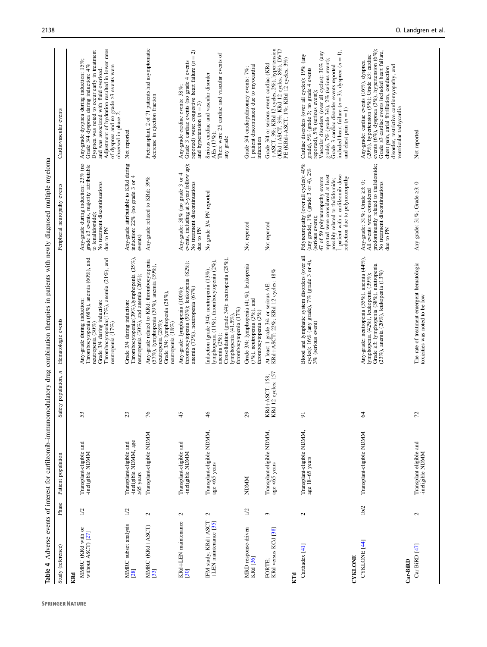<span id="page-11-0"></span>

| Table 4                                     |                 |                                                               |                                      | Adverse events of interest for carfilzomib-immunomodulatory drug combination therapies in patients with newly diagnosed multiple myeloma                                                                  |                                                                                                                                                                                                                                                                                             |                                                                                                                                                                                                                                                                                                                                                                    |
|---------------------------------------------|-----------------|---------------------------------------------------------------|--------------------------------------|-----------------------------------------------------------------------------------------------------------------------------------------------------------------------------------------------------------|---------------------------------------------------------------------------------------------------------------------------------------------------------------------------------------------------------------------------------------------------------------------------------------------|--------------------------------------------------------------------------------------------------------------------------------------------------------------------------------------------------------------------------------------------------------------------------------------------------------------------------------------------------------------------|
| Study (reference)                           | Phase           | Patient population                                            | Safety population, n                 | Hematologic events                                                                                                                                                                                        | Peripheral neuropathy events                                                                                                                                                                                                                                                                | Cardiovascular events                                                                                                                                                                                                                                                                                                                                              |
| KRd                                         |                 |                                                               |                                      |                                                                                                                                                                                                           |                                                                                                                                                                                                                                                                                             |                                                                                                                                                                                                                                                                                                                                                                    |
| MMRC (KRd with or<br>without ASCT) [27]     | $\overline{12}$ | Transplant-eligible and<br>-ineligible NDMM                   | 53                                   | Thrombocytopenia (68%), anemia (60%), and<br>Thrombocytopenia:(17%), anemia (21%), and<br>Any-grade during induction:<br>Grade 3/4 during induction:<br>neutropenia (30%)<br>neutropenia (17%)            | Any-grade during induction: 23% (no<br>grade 23 events, majority attributable<br>No treatment discontinuations<br>to lenalidomide);<br>due to PN                                                                                                                                            | Adjustment of hydration resulted in lower rates<br>Any-grade dyspnea during induction: $15\%$ ;<br>Grade 3/4 dyspnea during induction: $4\%$<br>Dyspnea was noted to occur early in treatment<br>of dyspnea and no grade ≥3 events were<br>observed in phase 2.<br>and was associated with fluid overload                                                          |
| MMRC subset analysis<br>$^{28}$             | 1/2             | -ineligible NDMM, age<br>Transplant-eligible and<br>≥65 years | 23                                   | Thrombocytopenia: (39%), lymphopenia (35%),<br>neutropenia (30%), and anemia (26%);<br>Grade 3/4 during induction:                                                                                        | Any-grade attributable to KRd during<br>induction: 22% (no grade 3 or 4<br>events)                                                                                                                                                                                                          | Not reported                                                                                                                                                                                                                                                                                                                                                       |
| MMRC (KRd+ASCT)<br>[33]                     | $\sim$          | Transplant-eligible NDMM                                      | 76                                   | Any-grade related to KRd: thrombocytopenia<br>(57%), lymphopenia (39%), anemia (39%),<br>Grade 3/4: lymphopenia (28%),<br>neutropenia (28%);<br>neutropenia (18%)                                         | Any-grade related to KRd: 39%                                                                                                                                                                                                                                                               | Pretransplant, 2 of 71 patients had asymptomatic<br>decrease in ejection fraction                                                                                                                                                                                                                                                                                  |
| KRd+LEN maintenance<br>[30]                 | $\mathbf{C}$    | Transplant-eligible and<br>-ineligible NDMM                   | 45                                   | thrombocytopenia (93%); leukopenia (82%);<br>anemia (73%), neutropenia $(67\%)$<br>Any-grade: lymphopenia (100%);                                                                                         | events, including at 5-year follow up);<br>Any-grade: 38% (no grade 3 or 4<br>No treatment discontinuations<br>due to PN                                                                                                                                                                    | ন<br>reported) were: congestive heart failure $(n =$<br>Any-grade cardiac events: 38%;<br>Grade 3 cardiac events (no grade 4 events<br>and hypertension $(n=3)$                                                                                                                                                                                                    |
| +LEN maintenance [35]<br>FM study; KRd+ASCT | $\mathcal{L}$   | Transplant-eligible NDMM,<br>age <65 years                    | 46                                   | Consolidation (grade 3/4): neutropenia (29%),<br>lymphopenia (11%), thrombocytopenia (2%),<br>Induction (grade 3/4): neutropenia (13%),<br>thrombocytopenia (17%)<br>lymphopenia (41.5%).<br>anemia (2%); | grade 3/4 PN reported<br>$\hat{\mathsf{z}}$                                                                                                                                                                                                                                                 | There were 25 cardiac and vascular events of<br>Serious cardiac and vascular disorder<br>AEs (17%);<br>any grade                                                                                                                                                                                                                                                   |
| MRD response-driven<br>KRd [36]             | $1/2$           | NDMM                                                          | 29                                   | Grade 3/4: lymphopenia (41%), leukopenia<br>$(7\%)$ , neutropenia $(3\%)$ , and<br>thrombocytopenia $(3\%)$                                                                                               | Not reported                                                                                                                                                                                                                                                                                | 1 patient discontinued due to myocardial<br>Grade 3/4 cardiopulmonary events: 7%;<br>infarction                                                                                                                                                                                                                                                                    |
| KRd versus KCd [38]<br>FORTE:<br>KTd        | $\epsilon$      | Transplant-eligible NDMM,<br>age <65 years                    | KRd+ASCT: 158;<br>KRd 12 cycles: 157 | At least 1 grade 3/4 or serious AE:<br>KRd+ASCT: 22%; KRd 12 cycles: 18%                                                                                                                                  | Not reported                                                                                                                                                                                                                                                                                | Grade 3/4 or serious event: cardiac (KRd + ASCT, 3%; KRd 12 cycles, 2%), hypertension (KRd+ASCT, 3%; KRd 12 cycles, 8%), DVT/<br>PE (KRd+ASCT, 1%; KRd 12 cycles, 3%)                                                                                                                                                                                              |
| Carthadex [41]<br><b>CYKLONE</b>            | $\mathcal{L}$   | Transplant-eligible NDMM,<br>age 18-65 years                  | $\overline{5}$                       | Blood and lymphatic system disorders (over all<br>cycles): 16% (any grade), 7% (grade 3 or 4),<br>3% (serious event)                                                                                      | Polyneuropathy (over all cycles): $40\%$<br>(any grade), $1\%$ (grade 3 or 4), $2\%$<br>I patient with a carfilzomib dose<br>reported were considered at least<br>reduction due to polyneuropathy<br>47 of 59 polyneuropathy events<br>possibly related to thalidomide;<br>(serious event); | included heart failure $(n = 3)$ , dyspnea $(n = 1)$ ,<br>Vascular disorders (over all cycles): $30\%$ (any grade), $7\%$ (grade $3/4$ ), $2\%$ (serious event); Grade 3 cardiac disorder events reported<br>Cardiac disorders (over all cycles): 19% (any<br>grade), 5% (grade 3; no grade 4 events<br>reported), 5% (serious event);<br>and chest pain $(n = 1)$ |
| CYKLONE [44]                                | 1b/2            | Transplant-eligible NDMM                                      | 64                                   | Any-grade: neutropenia (55%), anemia (44%),<br>Grade 23: lymphopenia (38%), neutropenia<br>$(23\%)$ , anemia $(20\%)$ , leukopenia $(13\%)$<br>lymphopenia (42%), leukopenia (39%);                       | predominantly related to thalidomide;<br>Any-grade: 31%; Grade ≥3: 0;<br>No treatment discontinuations<br>All events were considered<br>due to PN                                                                                                                                           | events (6%), dyspnea (3%), hypertension (6%);<br>Grade 23 cardiac events included heart failure,<br>(20%), hypertension (9%); Grade ≥3: cardiac<br>Any-grade: cardiac events (16%), dyspnea<br>disorder, restrictive cardiomyopathy, and<br>chest pain, atrial fibrillation, conduction<br>ventricular tachycardia                                                 |
| $Car-BiRD$ [47]<br>Car-BiRD                 | 2               | Transplant-eligible and<br>-ineligible NDMM                   | 72                                   | The rate of treatment-emergent hematologic<br>toxicities was noted to be low                                                                                                                              | Any-grade: 31%; Grade ≥3: 0                                                                                                                                                                                                                                                                 | Not reported                                                                                                                                                                                                                                                                                                                                                       |

**SPRINGER NATURE**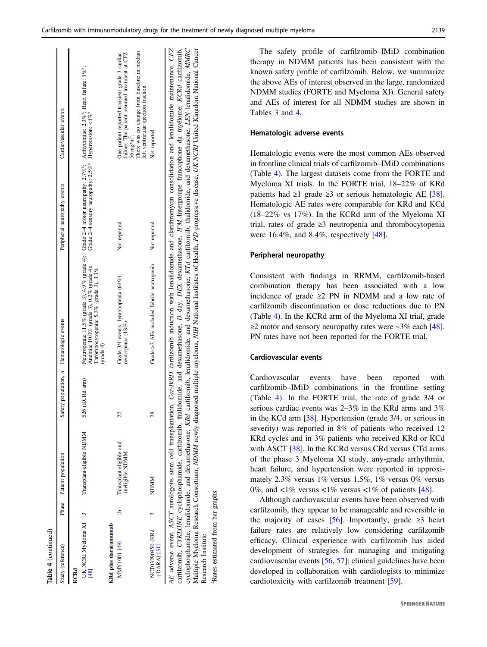| Table 4 (continued)                |                                            |                                         |                                                                                                                                                                                                                                                      |                                                                                |                                                                                                                                                                                                                  |
|------------------------------------|--------------------------------------------|-----------------------------------------|------------------------------------------------------------------------------------------------------------------------------------------------------------------------------------------------------------------------------------------------------|--------------------------------------------------------------------------------|------------------------------------------------------------------------------------------------------------------------------------------------------------------------------------------------------------------|
| Study (reference)                  | Phase Patient population                   | Safety population, n Hematologic events |                                                                                                                                                                                                                                                      | Peripheral neuropathy events                                                   | Cardiovascular events                                                                                                                                                                                            |
| UK NCRI Myeloma XI<br>[48]<br>KCRd | Transplant-eligible NDMM                   | 526 (KCRd arm)                          | Neutropenia: 11.5% (grade 3), 4.9% (grade 4); Grade 2-4 motor neuropathy: 2.7% $^8$ ; Arrhythmias: 2.3% $^8$ ; Heart failure: 1% $^8$ ;<br>Anemia: 10.0% (grade 3), 0.2% (grade 4);<br>Thrombocytopenia: 5.3% (grade 3), 3.1%<br>$(\text{grade } 4)$ | Grade 2-4 sensory neuropathy: 2.5% <sup>ª</sup> Hypertension: <1% <sup>ª</sup> |                                                                                                                                                                                                                  |
| KRd plus daratumumab               |                                            |                                         |                                                                                                                                                                                                                                                      |                                                                                |                                                                                                                                                                                                                  |
| MMY1001 [49]                       | Transplant-eligible and<br>ineligible NDMM | S                                       | Grade 3/4 events: lymphopenia (64%),<br>neutropenia (18%)                                                                                                                                                                                            | Not reported                                                                   | There was no change from baseline in median<br>One patient reported transient grade 3 cardiac<br>failure. The patient resumed treatment at CFZ<br>left ventricular ejection fraction<br>$56$ mg/m <sup>2</sup> ; |
| NCT03290950 (KRd<br>$+DARA$ [51]   | <b>NDMM</b>                                | 28                                      | Grade >3 AEs included febrile neutropenia                                                                                                                                                                                                            | Not reported                                                                   | Not reported                                                                                                                                                                                                     |
|                                    |                                            |                                         | AE adverse event, ASCT autologous stem cell transplantation, Car-BiRD cartilzomib induction with lenalidomide and clarithromycin consolidation and lenalidomide maintenance, CFZ                                                                     |                                                                                |                                                                                                                                                                                                                  |

AE adverse event, ASCT autologous stem cell transplantation, Car-BiRD carfilzomib induction with lenalidomide and clarithromycin consolidation and lenalidomide maintenance, CFZ D day, DEX dexamethasone, IFM Intergroupe francophone du myélome, KCRd carfilzomib, cyclophosphamide, lenalidomide, and dexamethasone; KRd carfilzomib, lenalidomide, and dexamethasone, KTd carfilzomib, thalidomide, and dexamethasone, LEN lenalidomide, MMRC cyclophosphamide, lenalidomide, and dexamethasone; *KRd ca*rfilzomib, lenalidomide, and dexamethasone, KTd carfilzomib, thalidomide, and dexamethasone, *LEN* lenalidomide, *MMRC* Multiple Myeloma Research Consortium, NDMM newly diagnosed multiple myeloma, NIH National Institutes of Health, PD progressive disease, UK NCRI United Kingdom National Cancer Multiple Myeloma Research Consortium, NDMM newly diagnosed multiple myeloma, NIH National Institutes of Health, PD progressive disease, UK NCRI United Kingdom National Cancer carfilzomib, CYKLONE cyclophosphamide, carfilzomib, thalidomide, and dexamethasone, D day, DEX dexamethasone, IFM Intergroupe francophone du myélome, KCRd carfilzomib, carfilzomib, CYKLONE cyclophosphamide, carfilzomib, thalidomide, and dexamethasone, Research Institute Research Institute  $\frac{1}{4}$ 

aRates estimated from bar graphs graphs Rates estimated from bar

The safety profile of carfilzomib–IMiD combination therapy in NDMM patients has been consistent with the known safety profile of carfilzomib. Below, we summarize the above AEs of interest observed in the large, randomized NDMM studies (FORTE and Myeloma XI). General safety and AEs of interest for all NDMM studies are shown in Tables [3](#page-9-0) and [4.](#page-11-0)

## Hematologic adverse events

Hematologic events were the most common AEs observed in frontline clinical trials of carfilzomib–IMiD combinations (Table [4](#page-11-0)). The largest datasets come from the FORTE and Myeloma XI trials. In the FORTE trial, 18–22% of KRd patients had ≥1 grade ≥3 or serious hematologic AE [[38\]](#page-15-0). Hematologic AE rates were comparable for KRd and KCd (18–22% vs 17%). In the KCRd arm of the Myeloma XI trial, rates of grade ≥3 neutropenia and thrombocytopenia were 16.4%, and 8.4%, respectively [\[48](#page-15-0)].

# Peripheral neuropathy

Consistent with findings in RRMM, carfilzomib-based combination therapy has been associated with a low incidence of grade ≥2 PN in NDMM and a low rate of carfilzomib discontinuation or dose reductions due to PN (Table [4\)](#page-11-0). In the KCRd arm of the Myeloma XI trial, grade  $≥2$  motor and sensory neuropathy rates were  $~3\%$  each [[48\]](#page-15-0). PN rates have not been reported for the FORTE trial.

# Cardiovascular events

Cardiovascular events have been reported with carfilzomib–IMiD combinations in the frontline setting (Table [4\)](#page-11-0). In the FORTE trial, the rate of grade 3/4 or serious cardiac events was 2–3% in the KRd arms and 3% in the KCd arm [\[38](#page-15-0)]. Hypertension (grade 3/4, or serious in severity) was reported in 8% of patients who received 12 KRd cycles and in 3% patients who received KRd or KCd with ASCT [\[38](#page-15-0)]. In the KCRd versus CRd versus CTd arms of the phase 3 Myeloma XI study, any-grade arrhythmia, heart failure, and hypertension were reported in approximately 2.3% versus 1% versus 1.5%, 1% versus 0% versus 0%, and <1% versus <1% versus <1% of patients [\[48](#page-15-0)].

Although cardiovascular events have been observed with carfilzomib, they appear to be manageable and reversible in the majority of cases [[56\]](#page-15-0). Importantly, grade  $\geq 3$  heart failure rates are relatively low considering carfilzomib efficacy. Clinical experience with carfilzomib has aided development of strategies for managing and mitigating cardiovascular events [[56,](#page-15-0) [57\]](#page-16-0); clinical guidelines have been developed in collaboration with cardiologists to minimize cardiotoxicity with carfilzomib treatment [\[59](#page-16-0)].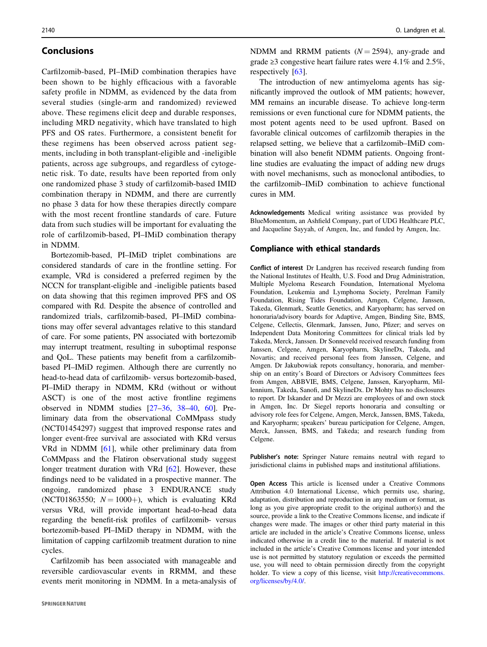# Conclusions

Carfilzomib-based, PI–IMiD combination therapies have been shown to be highly efficacious with a favorable safety profile in NDMM, as evidenced by the data from several studies (single-arm and randomized) reviewed above. These regimens elicit deep and durable responses, including MRD negativity, which have translated to high PFS and OS rates. Furthermore, a consistent benefit for these regimens has been observed across patient segments, including in both transplant-eligible and -ineligible patients, across age subgroups, and regardless of cytogenetic risk. To date, results have been reported from only one randomized phase 3 study of carfilzomib-based IMID combination therapy in NDMM, and there are currently no phase 3 data for how these therapies directly compare with the most recent frontline standards of care. Future data from such studies will be important for evaluating the role of carfilzomib-based, PI–IMiD combination therapy in NDMM.

Bortezomib-based, PI–IMiD triplet combinations are considered standards of care in the frontline setting. For example, VRd is considered a preferred regimen by the NCCN for transplant-eligible and -ineligible patients based on data showing that this regimen improved PFS and OS compared with Rd. Despite the absence of controlled and randomized trials, carfilzomib-based, PI–IMiD combinations may offer several advantages relative to this standard of care. For some patients, PN associated with bortezomib may interrupt treatment, resulting in suboptimal response and QoL. These patients may benefit from a carfilzomibbased PI–IMiD regimen. Although there are currently no head-to-head data of carfilzomib- versus bortezomib-based, PI–IMiD therapy in NDMM, KRd (without or without ASCT) is one of the most active frontline regimens observed in NDMM studies [[27](#page-14-0)–[36,](#page-15-0) [38](#page-15-0)–[40,](#page-15-0) [60\]](#page-16-0). Preliminary data from the observational CoMMpass study (NCT01454297) suggest that improved response rates and longer event-free survival are associated with KRd versus VRd in NDMM [[61\]](#page-16-0), while other preliminary data from CoMMpass and the Flatiron observational study suggest longer treatment duration with VRd [\[62](#page-16-0)]. However, these findings need to be validated in a prospective manner. The ongoing, randomized phase 3 ENDURANCE study (NCT01863550;  $N = 1000+$ ), which is evaluating KRd versus VRd, will provide important head-to-head data regarding the benefit-risk profiles of carfilzomib- versus bortezomib-based PI–IMiD therapy in NDMM, with the limitation of capping carfilzomib treatment duration to nine cycles.

Carfilzomib has been associated with manageable and reversible cardiovascular events in RRMM, and these events merit monitoring in NDMM. In a meta-analysis of NDMM and RRMM patients  $(N = 2594)$ , any-grade and grade ≥3 congestive heart failure rates were 4.1% and 2.5%, respectively [\[63](#page-16-0)].

The introduction of new antimyeloma agents has significantly improved the outlook of MM patients; however, MM remains an incurable disease. To achieve long-term remissions or even functional cure for NDMM patients, the most potent agents need to be used upfront. Based on favorable clinical outcomes of carfilzomib therapies in the relapsed setting, we believe that a carfilzomib–IMiD combination will also benefit NDMM patients. Ongoing frontline studies are evaluating the impact of adding new drugs with novel mechanisms, such as monoclonal antibodies, to the carfilzomib–IMiD combination to achieve functional cures in MM.

Acknowledgements Medical writing assistance was provided by BlueMomentum, an Ashfield Company, part of UDG Healthcare PLC, and Jacqueline Sayyah, of Amgen, Inc, and funded by Amgen, Inc.

### Compliance with ethical standards

Conflict of interest Dr Landgren has received research funding from the National Institutes of Health, U.S. Food and Drug Administration, Multiple Myeloma Research Foundation, International Myeloma Foundation, Leukemia and Lymphoma Society, Perelman Family Foundation, Rising Tides Foundation, Amgen, Celgene, Janssen, Takeda, Glenmark, Seattle Genetics, and Karyopharm; has served on honoraria/advisory boards for Adaptive, Amgen, Binding Site, BMS, Celgene, Cellectis, Glenmark, Janssen, Juno, Pfizer; and serves on Independent Data Monitoring Committees for clinical trials led by Takeda, Merck, Janssen. Dr Sonneveld received research funding from Janssen, Celgene, Amgen, Karyopharm, SkylineDx, Takeda, and Novartis; and received personal fees from Janssen, Celgene, and Amgen. Dr Jakubowiak repots consultancy, honoraria, and membership on an entity's Board of Directors or Advisory Committees fees from Amgen, ABBVIE, BMS, Celgene, Janssen, Karyopharm, Millennium, Takeda, Sanofi, and SkylineDx. Dr Mohty has no disclosures to report. Dr Iskander and Dr Mezzi are employees of and own stock in Amgen, Inc. Dr Siegel reports honoraria and consulting or advisory role fees for Celgene, Amgen, Merck, Janssen, BMS, Takeda, and Karyopharm; speakers' bureau participation for Celgene, Amgen, Merck, Janssen, BMS, and Takeda; and research funding from Celgene.

Publisher's note: Springer Nature remains neutral with regard to jurisdictional claims in published maps and institutional affiliations.

Open Access This article is licensed under a Creative Commons Attribution 4.0 International License, which permits use, sharing, adaptation, distribution and reproduction in any medium or format, as long as you give appropriate credit to the original author(s) and the source, provide a link to the Creative Commons license, and indicate if changes were made. The images or other third party material in this article are included in the article's Creative Commons license, unless indicated otherwise in a credit line to the material. If material is not included in the article's Creative Commons license and your intended use is not permitted by statutory regulation or exceeds the permitted use, you will need to obtain permission directly from the copyright holder. To view a copy of this license, visit [http://creativecommons.](http://creativecommons.org/licenses/by/4.0/) [org/licenses/by/4.0/](http://creativecommons.org/licenses/by/4.0/).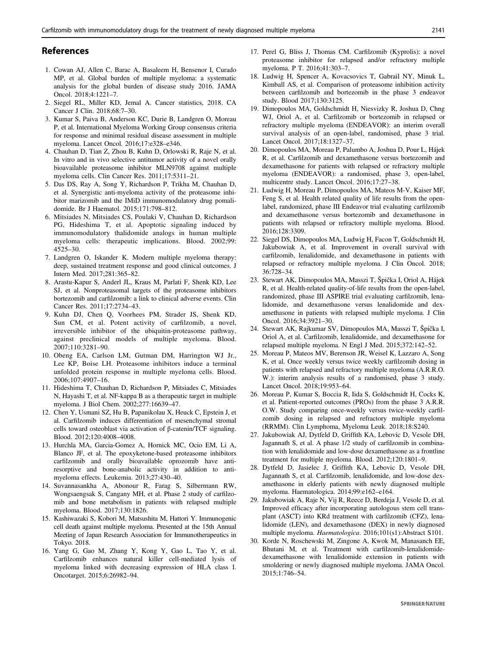### <span id="page-14-0"></span>References

- 1. Cowan AJ, Allen C, Barac A, Basaleem H, Bensenor I, Curado MP, et al. Global burden of multiple myeloma: a systematic analysis for the global burden of disease study 2016. JAMA Oncol. 2018;4:1221–7.
- 2. Siegel RL, Miller KD, Jemal A. Cancer statistics, 2018. CA Cancer J Clin. 2018;68:7–30.
- 3. Kumar S, Paiva B, Anderson KC, Durie B, Landgren O, Moreau P, et al. International Myeloma Working Group consensus criteria for response and minimal residual disease assessment in multiple myeloma. Lancet Oncol. 2016;17:e328–e346.
- 4. Chauhan D, Tian Z, Zhou B, Kuhn D, Orlowski R, Raje N, et al. In vitro and in vivo selective antitumor activity of a novel orally bioavailable proteasome inhibitor MLN9708 against multiple myeloma cells. Clin Cancer Res. 2011;17:5311–21.
- 5. Das DS, Ray A, Song Y, Richardson P, Trikha M, Chauhan D, et al. Synergistic anti-myeloma activity of the proteasome inhibitor marizomib and the IMiD immunomodulatory drug pomalidomide. Br J Haematol. 2015;171:798–812.
- 6. Mitsiades N, Mitsiades CS, Poulaki V, Chauhan D, Richardson PG, Hideshima T, et al. Apoptotic signaling induced by immunomodulatory thalidomide analogs in human multiple myeloma cells: therapeutic implications. Blood. 2002;99: 4525–30.
- 7. Landgren O, Iskander K. Modern multiple myeloma therapy: deep, sustained treatment response and good clinical outcomes. J Intern Med. 2017;281:365–82.
- 8. Arastu-Kapur S, Anderl JL, Kraus M, Parlati F, Shenk KD, Lee SJ, et al. Nonproteasomal targets of the proteasome inhibitors bortezomib and carfilzomib: a link to clinical adverse events. Clin Cancer Res. 2011;17:2734–43.
- 9. Kuhn DJ, Chen Q, Voorhees PM, Strader JS, Shenk KD, Sun CM, et al. Potent activity of carfilzomib, a novel, irreversible inhibitor of the ubiquitin-proteasome pathway, against preclinical models of multiple myeloma. Blood. 2007;110:3281–90.
- 10. Obeng EA, Carlson LM, Gutman DM, Harrington WJ Jr., Lee KP, Boise LH. Proteasome inhibitors induce a terminal unfolded protein response in multiple myeloma cells. Blood. 2006;107:4907–16.
- 11. Hideshima T, Chauhan D, Richardson P, Mitsiades C, Mitsiades N, Hayashi T, et al. NF-kappa B as a therapeutic target in multiple myeloma. J Biol Chem. 2002;277:16639–47.
- 12. Chen Y, Usmani SZ, Hu B, Papanikolau X, Heuck C, Epstein J, et al. Carfilzomib induces differentiation of mesenchymal stromal cells toward osteoblast via activation of β-catenin/TCF signaling. Blood. 2012;120:4008–4008.
- 13. Hurchla MA, Garcia-Gomez A, Hornick MC, Ocio EM, Li A, Blanco JF, et al. The epoxyketone-based proteasome inhibitors carfilzomib and orally bioavailable oprozomib have antiresorptive and bone-anabolic activity in addition to antimyeloma effects. Leukemia. 2013;27:430–40.
- 14. Suvannasankha A, Abonour R, Farag S, Silbermann RW, Wongsaengsak S, Cangany MH, et al. Phase 2 study of carfilzomib and bone metabolism in patients with relapsed multiple myeloma. Blood. 2017;130:1826.
- 15. Kashiwazaki S, Kobori M, Matsushita M, Hattori Y. Immunogenic cell death against multiple myeloma. Presented at the 15th Annual Meeting of Japan Research Association for Immunotherapeutics in Tokyo. 2018.
- 16. Yang G, Gao M, Zhang Y, Kong Y, Gao L, Tao Y, et al. Carfilzomib enhances natural killer cell-mediated lysis of myeloma linked with decreasing expression of HLA class I. Oncotarget. 2015;6:26982–94.
- 17. Perel G, Bliss J, Thomas CM. Carfilzomib (Kyprolis): a novel proteasome inhibitor for relapsed and/or refractory multiple myeloma. P T. 2016;41:303–7.
- 18. Ludwig H, Spencer A, Kovacsovics T, Gabrail NY, Minuk L, Kimball AS, et al. Comparison of proteasome inhibition activity between carfilzomib and bortezomib in the phase 3 endeavor study. Blood 2017;130:3125.
- 19. Dimopoulos MA, Goldschmidt H, Niesvizky R, Joshua D, Chng WJ, Oriol A, et al. Carfilzomib or bortezomib in relapsed or refractory multiple myeloma (ENDEAVOR): an interim overall survival analysis of an open-label, randomised, phase 3 trial. Lancet Oncol. 2017;18:1327–37.
- 20. Dimopoulos MA, Moreau P, Palumbo A, Joshua D, Pour L, Hájek R, et al. Carfilzomib and dexamethasone versus bortezomib and dexamethasone for patients with relapsed or refractory multiple myeloma (ENDEAVOR): a randomised, phase 3, open-label, multicentre study. Lancet Oncol. 2016;17:27–38.
- 21. Ludwig H, Moreau P, Dimopoulos MA, Mateos M-V, Kaiser MF, Feng S, et al. Health related quality of life results from the openlabel, randomized, phase III Endeavor trial evaluating carfilzomib and dexamethasone versus bortezomib and dexamethasone in patients with relapsed or refractory multiple myeloma. Blood. 2016;128:3309.
- 22. Siegel DS, Dimopoulos MA, Ludwig H, Facon T, Goldschmidt H, Jakubowiak A, et al. Improvement in overall survival with carfilzomib, lenalidomide, and dexamethasone in patients with relapsed or refractory multiple myeloma. J Clin Oncol. 2018; 36:728–34.
- 23. Stewart AK, Dimopoulos MA, Masszi T, Špička I, Oriol A, Hájek R, et al. Health-related quality-of-life results from the open-label, randomized, phase III ASPIRE trial evaluating carfilzomib, lenalidomide, and dexamethasone versus lenalidomide and dexamethasone in patients with relapsed multiple myeloma. J Clin Oncol. 2016;34:3921–30.
- 24. Stewart AK, Rajkumar SV, Dimopoulos MA, Masszi T, Špička I, Oriol A, et al. Carfilzomib, lenalidomide, and dexamethasone for relapsed multiple myeloma. N Engl J Med. 2015;372:142–52.
- 25. Moreau P, Mateos MV, Berenson JR, Weisel K, Lazzaro A, Song K, et al. Once weekly versus twice weekly carfilzomib dosing in patients with relapsed and refractory multiple myeloma (A.R.R.O. W.): interim analysis results of a randomised, phase 3 study. Lancet Oncol. 2018;19:953–64.
- 26. Moreau P, Kumar S, Boccia R, Iida S, Goldschmidt H, Cocks K, et al. Patient-reported outcomes (PROs) from the phase 3 A.R.R. O.W. Study comparing once-weekly versus twice-weekly carfilzomib dosing in relapsed and refractory multiple myeloma (RRMM). Clin Lymphoma, Myeloma Leuk. 2018;18:S240.
- 27. Jakubowiak AJ, Dytfeld D, Griffith KA, Lebovic D, Vesole DH, Jagannath S, et al. A phase 1/2 study of carfilzomib in combination with lenalidomide and low-dose dexamethasone as a frontline treatment for multiple myeloma. Blood. 2012;120:1801–9.
- 28. Dytfeld D, Jasielec J, Griffith KA, Lebovic D, Vesole DH, Jagannath S, et al. Carfilzomib, lenalidomide, and low-dose dexamethasone in elderly patients with newly diagnosed multiple myeloma. Haematologica. 2014;99:e162–e164.
- 29. Jakubowiak A, Raje N, Vij R, Reece D, Berdeja J, Vesole D, et al. Improved efficacy after incorporating autologous stem cell transplant (ASCT) into KRd treatment with carfilzomib (CFZ), lenalidomide (LEN), and dexamethasone (DEX) in newly diagnosed multiple myeloma. Haematologica. 2016;101(s1):Abstract S101.
- 30. Korde N, Roschewski M, Zingone A, Kwok M, Manasanch EE, Bhutani M, et al. Treatment with carfilzomib-lenalidomidedexamethasone with lenalidomide extension in patients with smoldering or newly diagnosed multiple myeloma. JAMA Oncol. 2015;1:746–54.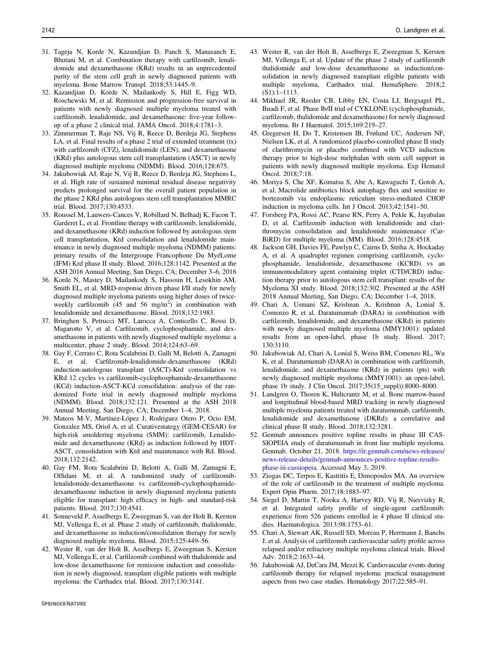- <span id="page-15-0"></span>31. Tageja N, Korde N, Kazandjian D, Panch S, Manasanch E, Bhutani M, et al. Combination therapy with carfilzomib, lenalidomide and dexamethasone (KRd) results in an unprecedented purity of the stem cell graft in newly diagnosed patients with myeloma. Bone Marrow Transpl. 2018;53:1445–9.
- 32. Kazandjian D, Korde N, Mailankody S, Hill E, Figg WD, Roschewski M, et al. Remission and progression-free survival in patients with newly diagnosed multiple myeloma treated with carfilzomib, lenalidomide, and dexamethasone: five-year followup of a phase 2 clinical trial. JAMA Oncol. 2018;4:1781–3.
- 33. Zimmerman T, Raje NS, Vij R, Reece D, Berdeja JG, Stephens LA, et al. Final results of a phase 2 trial of extended treatment (tx) with carfilzomib (CFZ), lenalidomide (LEN), and dexamethasone (KRd) plus autologous stem cell transplantation (ASCT) in newly diagnosed multiple myeloma (NDMM). Blood. 2016;128:675.
- 34. Jakubowiak AJ, Raje N, Vij R, Reece D, Berdeja JG, Stephens L, et al. High rate of sustained minimal residual disease negativity predicts prolonged survival for the overall patient population in the phase 2 KRd plus autologous stem cell transplantation MMRC trial. Blood. 2017;130:4533.
- 35. Roussel M, Lauwers-Cances V, Robillard N, Belhadj K, Facon T, Garderet L, et al. Frontline therapy with carfilzomib, lenalidomide, and dexamethasone (KRd) induction followed by autologous stem cell transplantation, Krd consolidation and lenalidomide maintenance in newly diagnosed multiple myeloma (NDMM) patients: primary results of the Intergroupe Francophone Du MyéLome (IFM) Krd phase II study. Blood. 2016;128:1142. Presented at the ASH 2016 Annual Meeting, San Diego, CA; December 3–6, 2016
- 36. Korde N, Mastey D, Mailankody S, Hassoun H, Lesokhin AM, Smith EL, et al. MRD-response driven phase I/II study for newly diagnosed multiple myeloma patients using higher doses of twiceweekly carfilzomib (45 and 56 mg/m<sup>2</sup>) in combination with lenalidomide and dexamethasone. Blood. 2018;132:1983.
- 37. Bringhen S, Petrucci MT, Larocca A, Conticello C, Rossi D, Magarotto V, et al. Carfilzomib, cyclophosphamide, and dexamethasone in patients with newly diagnosed multiple myeloma: a multicenter, phase 2 study. Blood. 2014;124:63–69.
- 38. Gay F, Cerrato C, Rota Scalabrini D, Galli M, Belotti A, Zamagni E, et al. Carfilzomib-lenalidomide-dexamethasone (KRd) induction-autologous transplant (ASCT)-Krd consolidation vs KRd 12 cycles vs carfilzomib-cyclophosphamide-dexamethasone (KCd) induction-ASCT-KCd consolidation: analysis of the randomized Forte trial in newly diagnosed multiple myeloma (NDMM). Blood. 2018;132:121. Presented at the ASH 2018 Annual Meeting, San Diego, CA; December 1–4, 2018.
- 39. Mateos M-V, Martínez-López J, Rodriguez Otero P, Ocio EM, Gonzalez MS, Oriol A, et al. Curativestategy (GEM-CESAR) for high-risk smoldering myeloma (SMM): carfilzomib, Lenalidomide and dexamethasone (KRd) as induction followed by HDT-ASCT, consolidation with Krd and maintenance with Rd. Blood. 2018;132:2142.
- 40. Gay FM, Rota Scalabrini D, Belotti A, Galli M, Zamagni E, Offidani M, et al. A randomized study of carfilzomiblenalidomide-dexamethasone vs carfilzomib-cyclophosphamidedexamethasone induction in newly diagnosed myeloma patients eligible for transplant: high efficacy in high- and standard-risk patients. Blood. 2017;130:4541.
- 41. Sonneveld P, Asselbergs E, Zweegman S, van der Holt B, Kersten MJ, Vellenga E, et al. Phase 2 study of carfilzomib, thalidomide, and dexamethasone as induction/consolidation therapy for newly diagnosed multiple myeloma. Blood. 2015;125:449–56.
- 42. Wester R, van der Holt B, Asselbergs E, Zweegman S, Kersten MJ, Vellenga E, et al. Carfilzomib combined with thalidomide and low-dose dexamethasone for remission induction and consolidation in newly diagnosed, transplant eligible patients with multiple myeloma: the Carthadex trial. Blood. 2017;130:3141.
- 43. Wester R, van der Holt B, Asselbergs E, Zweegman S, Kersten MJ, Vellenga E, et al. Update of the phase 2 study of carfilzomib thalidomide and low-dose dexamethasone as induction/consolidation in newly diagnosed transplant eligible patients with multiple myeloma, Carthadex trial. HemaSphere. 2018;2 (S1):1–1113.
- 44. Mikhael JR, Reeder CB, Libby EN, Costa LJ, Bergsagel PL, Buadi F, et al. Phase Ib/II trial of CYKLONE (cyclophosphamide, carfilzomib, thalidomide and dexamethasone) for newly diagnosed myeloma. Br J Haematol. 2015;169:219–27.
- 45. Gregersen H, Do T, Kristensen IB, Frølund UC, Andersen NF, Nielsen LK, et al. A randomized placebo-controlled phase II study of clarithromycin or placebo combined with VCD induction therapy prior to high-dose melphalan with stem cell support in patients with newly diagnosed multiple myeloma. Exp Hematol Oncol. 2018;7:18.
- 46. Moriya S, Che XF, Komatsu S, Abe A, Kawaguchi T, Gotoh A, et al. Macrolide antibiotics block autophagy flux and sensitize to bortezomib via endoplasmic reticulum stress-mediated CHOP induction in myeloma cells. Int J Oncol. 2013;42:1541–50.
- 47. Forsberg PA, Rossi AC, Pearse RN, Perry A, Pekle K, Jayabalan D, et al. Carfilzomib induction with lenalidomide and clarithromycin consolidation and lenalidomide maintenance (Car-BiRD) for multiple myeloma (MM). Blood. 2016;128:4518.
- 48. Jackson GH, Davies FE, Pawlyn C, Cairns D, Striha A, Hockaday A, et al. A quadruplet regimen comprising carfilzomib, cyclophosphamide, lenalidomide, dexamethasone (KCRD) vs an immunomodulatory agent containing triplet (CTD/CRD) induction therapy prior to autologous stem cell transplant: results of the Myeloma XI study. Blood. 2018;132:302. Presented at the ASH 2018 Annual Meeting, San Diego, CA; December 1–4, 2018.
- 49. Chari A, Usmani SZ, Krishnan A, Krishnan A, Lonial S, Comenzo R, et al. Daratumumab (DARA) in combination with carfilzomib, lenalidomide, and dexamethasone (KRd) in patients with newly diagnosed multiple myeloma (MMY1001): updated results from an open-label, phase 1b study. Blood. 2017; 130:3110.
- 50. Jakubowiak AJ, Chari A, Lonial S, Weiss BM, Comenzo RL, Wu K, et al. Daratumumab (DARA) in combination with carfilzomib, lenalidomide, and dexamethasone (KRd) in patients (pts) with newly diagnosed multiple myeloma (MMY1001): an open-label, phase 1b study. J Clin Oncol. 2017;35(15\_suppl)):8000–8000.
- 51. Landgren O, Thoren K, Hultcrantz M, et al. Bone marrow-based and longitudinal blood-based MRD tracking in newly diagnosed multiple myeloma patients treated with daratumumab, carfilzomib, lenalidomide and dexamethasone (DKRd): a correlative and clinical phase II study. Blood. 2018;132:3281.
- 52. Genmab announces positive topline results in phase III CAS-SIOPEIA study of daratumumab in front line multiple myeloma. Genmab. October 21, 2018. [https://ir.genmab.com/news-releases/](https://ir.genmab.com/news-releases/news-release-details/genmab-announces-positive-topline-results-phase-iii-cassiopeia) [news-release-details/genmab-announces-positive-topline-results](https://ir.genmab.com/news-releases/news-release-details/genmab-announces-positive-topline-results-phase-iii-cassiopeia)[phase-iii-cassiopeia.](https://ir.genmab.com/news-releases/news-release-details/genmab-announces-positive-topline-results-phase-iii-cassiopeia) Accessed May 3, 2019.
- 53. Ziogas DC, Terpos E, Kastritis E, Dimopoulos MA. An overview of the role of carfilzomib in the treatment of multiple myeloma. Expert Opin Pharm. 2017;18:1883–97.
- 54. Siegel D, Martin T, Nooka A, Harvey RD, Vij R, Niesvizky R, et al. Integrated safety profile of single-agent carfilzomib: experience from 526 patients enrolled in 4 phase II clinical studies. Haematologica. 2013;98:1753–61.
- 55. Chari A, Stewart AK, Russell SD, Moreau P, Herrmann J, Banchs J, et al. Analysis of carfilzomib cardiovascular safety profile across relapsed and/or refractory multiple myeloma clinical trials. Blood Adv. 2018;2:1633–44.
- 56. Jakubowiak AJ, DeCara JM, Mezzi K. Cardiovascular events during carfilzomib therapy for relapsed myeloma: practical management aspects from two case studies. Hematology 2017;22:585–91.